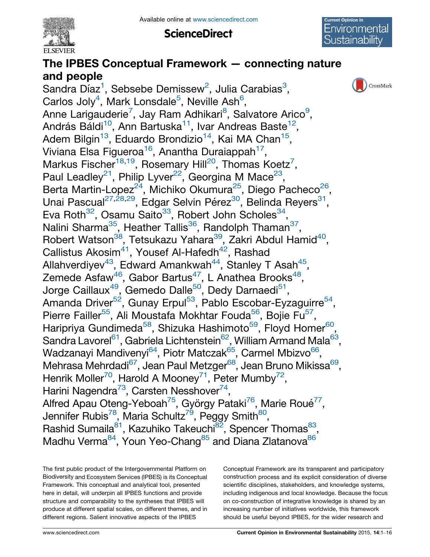

**ScienceDirect** 



# The IPBES Conceptual Framework — connecting nature and people



Sandra Díaz<sup>[1](#page-1-0)</sup>, Sebsebe Demissew<sup>[2](#page-1-0)</sup>, Julia Carabias<sup>[3](#page-1-0)</sup>, Carlos Joly<sup>4</sup>, Mark Lonsdale<sup>[5](#page-1-0)</sup>, Neville Ash<sup>[6](#page-1-0)</sup>, Anne Larigauderie<sup>[7](#page-1-0)</sup>, Jay Ram Adhikari<sup>[8](#page-1-0)</sup>, Salvatore Arico<sup>[9](#page-1-0)</sup>, András Báldi<sup>[10](#page-1-0)</sup>, Ann Bartuska<sup>11</sup>, Ivar Andreas Baste<sup>12</sup>, Andreas Baldi , Anin Bartuska , Ivar Andreas Baste<br>Adem Bilgin<sup>13</sup>, Eduardo Brondizio<sup>[14](#page-1-0)</sup>, Kai MA Chan<sup>[15](#page-1-0)</sup>, Viviana Elsa Figueroa<sup>[16](#page-1-0)</sup>, Anantha Duraiappah<sup>17</sup>, Markus Fischer<sup>[18,19](#page-1-0)</sup>, Rosemary Hill<sup>[20](#page-1-0)</sup>, Thomas Koetz<sup>[7](#page-1-0)</sup>, Paul Leadley<sup>21</sup>, Philip Lyver<sup>[22](#page-1-0)</sup>, Georgina M Mace<sup>[23](#page-1-0)</sup>. Berta Martin-Lopez<sup>24</sup>, Michiko Okumura<sup>[25](#page-1-0)</sup>, Diego Pacheco<sup>26</sup>, Unai Pascual<sup>27,28,29</sup>, Edgar Selvin Pérez<sup>30</sup>, Belinda Reyers<sup>[31](#page-1-0)</sup>, Eva Roth<sup>32</sup>, Osamu Saito<sup>33</sup>, Robert John Scholes<sup>34</sup>, Nalini Sharma<sup>[35](#page-1-0)</sup>, Heather Tallis<sup>36</sup>, Randolph Thaman<sup>37</sup>, Robert Watson<sup>38</sup>, Tetsukazu Yahara<sup>39</sup>, Zakri Abdul Hamid<sup>[40](#page-1-0)</sup>, Callistus Akosim $^{41}$  $^{41}$  $^{41}$ , Yousef Al-Hafedh $^{42}$ , Rashad Allahverdiyev<sup>43</sup>, Edward Amankwah<sup>44</sup>, Stanley T Asah<sup>[45](#page-1-0)</sup>, Zemede Asfaw $46$ , Gabor Bartus $^{47}$ , L Anathea Brooks $^{48}$  $^{48}$  $^{48}$ , Jorge Caillaux<sup>[49](#page-1-0)</sup>, Gemedo Dalle<sup>50</sup>, Dedy Darnaedi<sup>51</sup>, Amanda Driver<sup>[52](#page-1-0)</sup>, Gunay Erpul<sup>[53](#page-1-0)</sup>, Pablo Escobar-Eyzaguirre<sup>[54](#page-1-0)</sup>, Pierre Failler<sup>55</sup>, Ali Moustafa Mokhtar Fouda<sup>[56](#page-1-0)</sup>, Bojie Fu<sup>[57](#page-1-0)</sup>, Haripriya Gundimeda<sup>[58](#page-1-0)</sup>, Shizuka Hashimoto<sup>59</sup>, Floyd Homer<sup>[60](#page-1-0)</sup>, Sandra Lavorel<sup>61</sup>, Gabriela Lichtenstein<sup>62</sup>, William Armand Mala<sup>63</sup>, Wadzanayi Mandivenyi<sup>64</sup>, Piotr Matczak<sup>65</sup>, Carmel Mbizvo<sup>66</sup>, Mehrasa Mehrdadi<sup>67</sup>, Jean Paul Metzger<sup>68</sup>, Jean Bruno Mikissa<sup>69</sup>, Henrik Moller<sup>70</sup>, Harold A Mooney<sup>71</sup>, Peter Mumby<sup>72</sup>, Harini Nagendra<sup>73</sup>, Carsten Nesshover<sup>74</sup>, Alfred Apau Oteng-Yeboah<sup>75</sup>, György Pataki<sup>76</sup>, Marie Roué<sup>77</sup>, Jennifer Rubis<sup>78</sup>, Maria Schultz<sup>79</sup>, Peggy Smith<sup>80</sup>, Rashid Sumaila<sup>81</sup>, Kazuhiko Takeuchi<sup>82</sup>, Spencer Thomas<sup>83</sup> Madhu Verma<sup>84</sup>, Youn Yeo-Chang<sup>[85](#page-2-0)</sup> and Diana Zlatanova<sup>86</sup>

The first public product of the Intergovernmental Platform on Biodiversity and Ecosystem Services (IPBES) is its Conceptual Framework. This conceptual and analytical tool, presented here in detail, will underpin all IPBES functions and provide structure and comparability to the syntheses that IPBES will produce at different spatial scales, on different themes, and in different regions. Salient innovative aspects of the IPBES

Conceptual Framework are its transparent and participatory construction process and its explicit consideration of diverse scientific disciplines, stakeholders, and knowledge systems, including indigenous and local knowledge. Because the focus on co-construction of integrative knowledge is shared by an increasing number of initiatives worldwide, this framework should be useful beyond IPBES, for the wider research and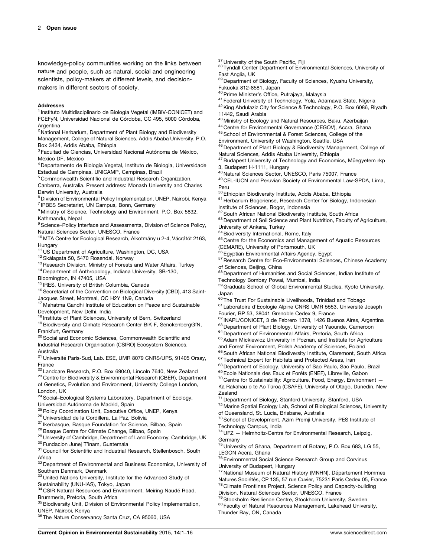<span id="page-1-0"></span>knowledge-policy communities working on the links between nature and people, such as natural, social and engineering scientists, policy-makers at different levels, and decisionmakers in different sectors of society.

#### Addresses

<sup>1</sup> Instituto Multidisciplinario de Biología Vegetal (IMBIV-CONICET) and FCEFyN, Universidad Nacional de Córdoba, CC 495, 5000 Córdoba, **Argentina** 

<sup>2</sup> National Herbarium, Department of Plant Biology and Biodiversity Management, College of Natural Sciences, Addis Ababa University, P.O. Box 3434, Addis Ababa, Ethiopia

<sup>3</sup> Facultad de Ciencias, Universidad Nacional Autónoma de México, Mexico DF, Mexico

<sup>4</sup> Departamento de Biologia Vegetal, Instituto de Biologia, Universidade Estadual de Campinas, UNICAMP, Campinas, Brazil

<sup>5</sup> Commonwealth Scientific and Industrial Research Organization,

Canberra, Australia. Present address: Monash University and Charles Darwin University, Australia

<sup>6</sup> Division of Environmental Policy Implementation, UNEP, Nairobi, Kenya <sup>7</sup> IPBES Secretariat, UN Campus, Bonn, Germany

<sup>8</sup> Ministry of Science, Technology and Environment, P.O. Box 5832, Kathmandu, Nepal

<sup>9</sup> Science–Policy Interface and Assessments, Division of Science Policy, Natural Sciences Sector, UNESCO, France

<sup>10</sup> MTA Centre for Ecological Research, Alkotmány u 2-4, Vácrátót 2163, Hungary

<sup>11</sup> US Department of Agriculture, Washington, DC, USA

<sup>12</sup> Skålagata 50, 5470 Rosendal, Norway

<sup>13</sup> Research Division, Ministry of Forests and Water Affairs, Turkey

<sup>14</sup> Department of Anthropology, Indiana University, SB-130,

Bloomington, IN 47405, USA

<sup>15</sup> IRES, University of British Columbia, Canada

<sup>16</sup> Secretariat of the Convention on Biological Diversity (CBD), 413 Saint-Jacques Street, Montreal, QC H2Y 1N9, Canada

<sup>17</sup> Mahatma Gandhi Institute of Education on Peace and Sustainable Development, New Delhi, India

<sup>18</sup> Institute of Plant Sciences, University of Bern, Switzerland

<sup>19</sup> Biodiversity and Climate Research Center BiK F, SenckenbergGfN, Frankfurt, Germany

<sup>20</sup> Social and Economic Sciences, Commonwealth Scientific and Industrial Research Organisation (CSIRO) Ecosystem Sciences, Australia

<sup>21</sup> Université Paris-Sud, Lab. ESE, UMR 8079 CNRS/UPS, 91405 Orsay, France

<sup>22</sup> Landcare Research, P.O. Box 69040, Lincoln 7640, New Zealand

<sup>23</sup> Centre for Biodiversity & Environmental Research (CBER), Department of Genetics, Evolution and Environment, University College London, London, UK

<sup>24</sup> Social–Ecological Systems Laboratory, Department of Ecology, Universidad Autónoma de Madrid, Spain

<sup>25</sup> Policy Coordination Unit, Executive Office, UNEP, Kenya

<sup>26</sup> Universidad de la Cordillera, La Paz, Bolivia

<sup>27</sup> Ikerbasque, Basque Foundation for Science, Bilbao, Spain

<sup>28</sup> Basque Centre for Climate Change, Bilbao, Spain

 $^{29}$  University of Cambridge, Department of Land Economy, Cambridge, UK <sup>30</sup> Fundacion Junej T'inam, Guatemala

<sup>31</sup> Council for Scientific and Industrial Research, Stellenbosch, South Africa

<sup>32</sup> Department of Environmental and Business Economics, University of Southern Denmark, Denmark

33 United Nations University, Institute for the Advanced Study of Sustainability (UNU-IAS), Tokyo, Japan

CSIR Natural Resources and Environment, Meiring Naudé Road, Brummeria, Pretoria, South Africa

35 Biodiversity Unit, Division of Environmental Policy Implementation, UNEP, Nairobi, Kenya

36 The Nature Conservancy Santa Cruz, CA 95060, USA

<sup>37</sup> University of the South Pacific, Fiji<br><sup>38</sup> Tyndall Center Department of Environmental Sciences, University of East Anglia, UK

39 Department of Biology, Faculty of Sciences, Kyushu University, Fukuoka 812-8581, Japan

<sup>40</sup> Prime Minister's Office, Putrajaya, Malaysia

<sup>41</sup> Federal University of Technology, Yola, Adamawa State, Nigeria

42King Abdulaziz City for Science & Technology, P.O. Box 6086, Riyadh 11442, Saudi Arabia

43 Ministry of Ecology and Natural Resources, Baku, Azerbaijan

<sup>44</sup> Centre for Environmental Governance (CEGOV), Accra, Ghana 45 School of Environmental & Forest Sciences, College of the

Environment, University of Washington, Seattle, USA

<sup>46</sup> Department of Plant Biology & Biodiversity Management, College of Natural Sciences, Addis Ababa University, Ethiopia

<sup>47</sup> Budapest University of Technology and Economics, Műegyetem rkp 3, Budapest H-1111, Hungary

<sup>48</sup> Natural Sciences Sector, UNESCO, Paris 75007, France

<sup>49</sup> CEL-IUCN and Peruvian Society of Environmental Law-SPDA, Lima, Peru

50 Ethiopian Biodiversity Institute, Addis Ababa, Ethiopia

<sup>51</sup> Herbarium Bogoriense, Research Center for Biology, Indonesian Institute of Sciences, Bogor, Indonesia

52 South African National Biodiversity Institute, South Africa

53 Department of Soil Science and Plant Nutrition, Faculty of Agriculture, University of Ankara, Turkey

54 Biodiversity International, Rome, Italy

55 Centre for the Economics and Management of Aquatic Resources (CEMARE), University of Portsmouth, UK

56 Egyptian Environmental Affairs Agency, Egypt

57 Research Centre for Eco-Environmental Sciences, Chinese Academy of Sciences, Beijing, China

<sup>58</sup> Department of Humanities and Social Sciences, Indian Institute of Technology Bombay Powai, Mumbai, India

59Graduate School of Global Environmental Studies, Kyoto University, Japan

<sup>60</sup> The Trust For Sustainable Livelihoods, Trinidad and Tobago

61 Laboratoire d'Ecologie Alpine CNRS UMR 5553, Université Joseph Fourier, BP 53, 38041 Grenoble Cedex 9, France

<sup>62</sup> INAPL/CONICET, 3 de Febrero 1378, 1426 Buenos Aires, Argentina

<sup>63</sup> Department of Plant Biology, University of Yaounde, Cameroon

<sup>64</sup> Department of Environmental Affairs, Pretoria, South Africa

<sup>65</sup> Adam Mickiewicz University in Poznan, and Institute for Agriculture and Forest Environment, Polish Academy of Sciences, Poland

<sup>66</sup> South African National Biodiversity Institute, Claremont, South Africa <sup>67</sup> Technical Expert for Habitats and Protected Areas, Iran

68 Department of Ecology, University of Sao Paulo, Sao Paulo, Brazil

69 Ecole Nationale des Eaux et Foréts (ENEF), Libreville, Gabon

 $70$  Centre for Sustainability: Agriculture, Food, Energy, Environment  $-$ Kā Rakahau o te Ao Tūroa (CSAFE), University of Otago, Dunedin, New Zealand

<sup>71</sup> Department of Biology, Stanford University, Stanford, USA

<sup>72</sup> Marine Spatial Ecology Lab, School of Biological Sciences, University of Queensland, St. Lucia, Brisbane, Australia

<sup>73</sup> School of Development, Azim Premji University, PES Institute of Technology Campus, India

<sup>74</sup> UFZ — Helmholtz-Centre for Environmental Research, Leipzig, Germany

<sup>75</sup> University of Ghana, Department of Botany, P.O. Box 683, LG 55, LEGON Accra, Ghana

76Environmental Social Science Research Group and Corvinus University of Budapest, Hungary

 $77$  National Museum of Natural History (MNHN), Département Hommes Natures Sociétés, CP 135, 57 rue Cuvier, 75231 Paris Cedex 05, France <sup>78</sup> Climate Frontlines Project, Science Policy and Capacity-building

Division, Natural Sciences Sector, UNESCO, France 79 Stockholm Resilience Centre, Stockholm University, Sweden

 $^{80}$  Faculty of Natural Resources Management, Lakehead University, Thunder Bay, ON, Canada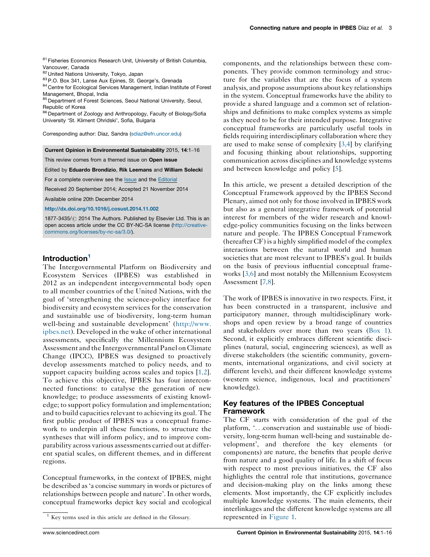<span id="page-2-0"></span><sup>81</sup> Fisheries Economics Research Unit, University of British Columbia, Vancouver, Canada

82 United Nations University, Tokyo, Japan

83 P.O. Box 341, Lanse Aux Epines, St. George's, Grenada

84 Centre for Ecological Services Management, Indian Institute of Forest Management, Bhopal, India

85 Department of Forest Sciences, Seoul National University, Seoul, Republic of Korea

86 Department of Zoology and Anthropology, Faculty of Biology/Sofia University 'St. Kliment Ohridski', Sofia, Bulgaria

Corresponding author: Díaz, Sandra ([sdiaz@efn.uncor.edu\)](mailto:sdiaz@efn.uncor.edu)

Current Opinion in Environmental Sustainability 2015, 14:1–16

This review comes from a themed issue on **Open issue** 

Edited by Eduardo Brondizio, Rik Leemans and William Solecki

For a complete overview see the [Issue](http://www.sciencedirect.com/science/journal/18773435/14) and the [Editorial](http://dx.doi.org/10.1016/j.cosust.2015.10.001)

Received 20 September 2014; Accepted 21 November 2014

Available online 20th December 2014

<http://dx.doi.org/10.1016/j.cosust.2014.11.002>

1877-3435/ 2014 The Authors. Published by Elsevier Ltd. This is an open access article under the CC BY-NC-SA license [\(http://creative](http://creativecommons.org/licenses/by-nc-sa/3.0/)[commons.org/licenses/by-nc-sa/3.0/](http://creativecommons.org/licenses/by-nc-sa/3.0/)).

## Introduction<sup>1</sup>

The Intergovernmental Platform on Biodiversity and Ecosystem Services (IPBES) was established in 2012 as an independent intergovernmental body open to all member countries of the United Nations, with the goal of 'strengthening the science-policy interface for biodiversity and ecosystem services for the conservation and sustainable use of biodiversity, long-term human well-being and sustainable development' [\(http://www.](http://www.ipbes.net/) [ipbes.net\)](http://www.ipbes.net/). Developed in the wake of other international assessments, specifically the Millennium Ecosystem Assessment and the Intergovernmental Panel on Climate Change (IPCC), IPBES was designed to proactively develop assessments matched to policy needs, and to support capacity building across scales and topics [[1,2](#page-13-0)]. To achieve this objective, IPBES has four interconnected functions: to catalyse the generation of new knowledge; to produce assessments of existing knowledge; to support policy formulation and implementation; and to build capacities relevant to achieving its goal. The first public product of IPBES was a conceptual framework to underpin all these functions, to structure the syntheses that will inform policy, and to improve comparability across various assessments carried out at different spatial scales, on different themes, and in different regions.

Conceptual frameworks, in the context of IPBES, might be described as 'a concise summary in words or pictures of relationships between people and nature'. In other words, conceptual frameworks depict key social and ecological components, and the relationships between these components. They provide common terminology and structure for the variables that are the focus of a system analysis, and propose assumptions about key relationships in the system. Conceptual frameworks have the ability to provide a shared language and a common set of relationships and definitions to make complex systems as simple as they need to be for their intended purpose. Integrative conceptual frameworks are particularly useful tools in fields requiring interdisciplinary collaboration where they are used to make sense of complexity [\[3,4\]](#page-13-0) by clarifying and focusing thinking about relationships, supporting communication across disciplines and knowledge systems and between knowledge and policy [[5\]](#page-13-0).

In this article, we present a detailed description of the Conceptual Framework approved by the IPBES Second Plenary, aimed not only for those involved in IPBES work but also as a general integrative framework of potential interest for members of the wider research and knowledge-policy communities focusing on the links between nature and people. The IPBES Conceptual Framework (hereafter CF) is a highly simplified model of the complex interactions between the natural world and human societies that are most relevant to IPBES's goal. It builds on the basis of previous influential conceptual frameworks [[3,6](#page-13-0)] and most notably the Millennium Ecosystem Assessment [\[7,8](#page-13-0)].

The work of IPBES is innovative in two respects. First, it has been constructed in a transparent, inclusive and participatory manner, through multidisciplinary workshops and open review by a broad range of countries and stakeholders over more than two years [\(Box](#page-3-0) 1). Second, it explicitly embraces different scientific disciplines (natural, social, engineering sciences), as well as diverse stakeholders (the scientific community, governments, international organizations, and civil society at different levels), and their different knowledge systems (western science, indigenous, local and practitioners' knowledge).

# Key features of the IPBES Conceptual Framework

The CF starts with consideration of the goal of the platform, '. . .conservation and sustainable use of biodiversity, long-term human well-being and sustainable development', and therefore the key elements (or components) are nature, the benefits that people derive from nature and a good quality of life. In a shift of focus with respect to most previous initiatives, the CF also highlights the central role that institutions, governance and decision-making play on the links among these elements. Most importantly, the CF explicitly includes multiple knowledge systems. The main elements, their interlinkages and the different knowledge systems are all represented in [Figure](#page-4-0) 1.

<sup>&</sup>lt;sup>1</sup> Key terms used in this article are defined in the Glossary.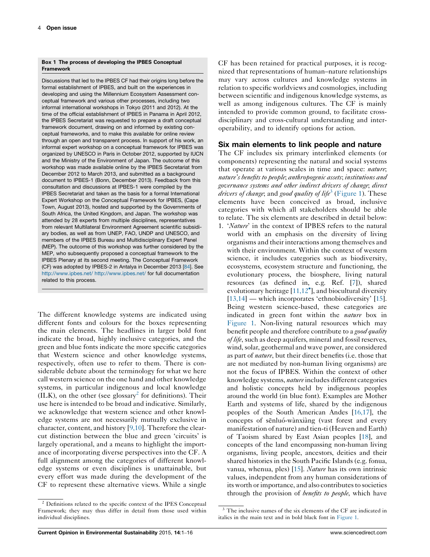#### <span id="page-3-0"></span>Box 1 The process of developing the IPBES Conceptual Framework

Discussions that led to the IPBES CF had their origins long before the formal establishment of IPBES, and built on the experiences in developing and using the Millennium Ecosystem Assessment conceptual framework and various other processes, including two informal international workshops in Tokyo (2011 and 2012). At the time of the official establishment of IPBES in Panama in April 2012, the IPBES Secretariat was requested to prepare a draft conceptual framework document, drawing on and informed by existing conceptual frameworks, and to make this available for online review through an open and transparent process. In support of his work, an informal expert workshop on a conceptual framework for IPBES was organized by UNESCO in Paris in October 2012, supported by IUCN and the Ministry of the Environment of Japan. The outcome of this workshop was made available online by the IPBES Secretariat from December 2012 to March 2013, and submitted as a background document to IPBES-1 (Bonn, December 2013). Feedback from this consultation and discussions at IPBES-1 were compiled by the IPBES Secretariat and taken as the basis for a formal International Expert Workshop on the Conceptual Framework for IPBES, (Cape Town, August 2013), hosted and supported by the Governments of South Africa, the United Kingdom, and Japan. The workshop was attended by 28 experts from multiple disciplines, representatives from relevant Multilateral Environment Agreement scientific subsidiary bodies, as well as from UNEP, FAO, UNDP and UNESCO, and members of the IPBES Bureau and Multidisciplinary Expert Panel (MEP). The outcome of this workshop was further considered by the MEP, who subsequently proposed a conceptual framework to the IPBES Plenary at its second meeting. The Conceptual Framework (CF) was adopted by IPBES-2 in Antalya in December 2013 [\[84\]](#page-15-0). See <http://www.ipbes.net/> <http://www.ipbes.net/> for full documentation related to this process.

The different knowledge systems are indicated using different fonts and colours for the boxes representing the main elements. The headlines in larger bold font indicate the broad, highly inclusive categories, and the green and blue fonts indicate the more specific categories that Western science and other knowledge systems, respectively, often use to refer to them. There is considerable debate about the terminology for what we here call western science on the one hand and other knowledge systems, in particular indigenous and local knowledge (ILK), on the other (see glossary<sup>2</sup> for definitions). Their use here is intended to be broad and indicative. Similarly, we acknowledge that western science and other knowledge systems are not necessarily mutually exclusive in character, content, and history [[9,10](#page-13-0)]. Therefore the clearcut distinction between the blue and green 'circuits' is largely operational, and a means to highlight the importance of incorporating diverse perspectives into the CF. A full alignment among the categories of different knowledge systems or even disciplines is unattainable, but every effort was made during the development of the CF to represent these alternative views. While a single

CF has been retained for practical purposes, it is recognized that representations of human–nature relationships may vary across cultures and knowledge systems in relation to specific worldviews and cosmologies, including between scientific and indigenous knowledge systems, as well as among indigenous cultures. The CF is mainly intended to provide common ground, to facilitate crossdisciplinary and cross-cultural understanding and interoperability, and to identify options for action.

# Six main elements to link people and nature

The CF includes six primary interlinked elements (or components) representing the natural and social systems that operate at various scales in time and space: *nature*; nature's benefits to people; anthropogenic assets; institutions and governance systems and other indirect drivers of change; direct *drivers of change*; and *good quality of life*<sup>3</sup> ([Figure](#page-4-0) 1). These elements have been conceived as broad, inclusive categories with which all stakeholders should be able to relate. The six elements are described in detail below:

1. 'Nature' in the context of IPBES refers to the natural world with an emphasis on the diversity of living organisms and their interactions among themselves and with their environment. Within the context of western science, it includes categories such as biodiversity, ecosystems, ecosystem structure and functioning, the evolutionary process, the biosphere, living natural resources (as defined in, e.g. Ref. [[7\]](#page-13-0)), shared evolutionary heritage  $[11,12^{\circ}]$  $[11,12^{\circ}]$ , and biocultural diversity [[13,14](#page-13-0)] — which incorporates 'ethnobiodiversity' [[15\]](#page-13-0). Being western science-based, these categories are indicated in green font within the nature box in [Figure](#page-4-0) 1. Non-living natural resources which may benefit people and therefore contribute to a good quality of life, such as deep aquifers, mineral and fossil reserves, wind, solar, geothermal and wave power, are considered as part of nature, but their direct benefits (i.e. those that are not mediated by non-human living organisms) are not the focus of IPBES. Within the context of other knowledge systems, nature includes different categories and holistic concepts held by indigenous peoples around the world (in blue font). Examples are Mother Earth and systems of life, shared by the indigenous peoples of the South American Andes [\[16,17\]](#page-13-0), the concepts of senluo-wanxiang (vast forest and every manifestation of nature) and tien-ti (Heaven and Earth) of Taoism shared by East Asian peoples [\[18](#page-13-0)], and concepts of the land encompassing non-human living organisms, living people, ancestors, deities and their shared histories in the South Pacific Islands (e.g. fonua, vanua, whenua, ples) [[15](#page-13-0)]. Nature has its own intrinsic values, independent from any human considerations of its worth or importance, and also contributes to societies through the provision of *benefits to people*, which have

<sup>&</sup>lt;sup>2</sup> Definitions related to the specific context of the IPES Conceptual Framework; they may thus differ in detail from those used within individual disciplines.

 $3<sup>3</sup>$  The inclusive names of the six elements of the CF are indicated in italics in the main text and in bold black font in [Figure](#page-4-0) 1.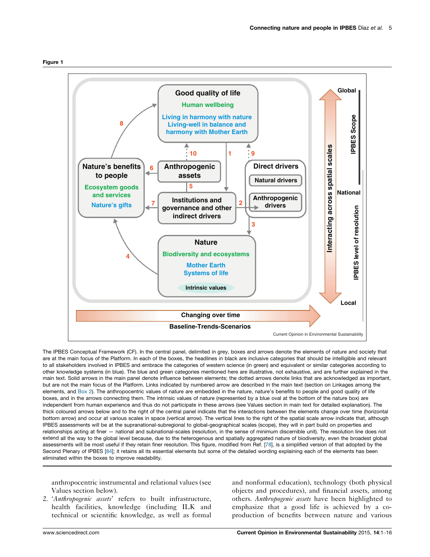<span id="page-4-0"></span>



The IPBES Conceptual Framework (CF). In the central panel, delimited in grey, boxes and arrows denote the elements of nature and society that are at the main focus of the Platform. In each of the boxes, the headlines in black are inclusive categories that should be intelligible and relevant to all stakeholders involved in IPBES and embrace the categories of western science (in green) and equivalent or similar categories according to other knowledge systems (in blue). The blue and green categories mentioned here are illustrative, not exhaustive, and are further explained in the main text. Solid arrows in the main panel denote influence between elements; the dotted arrows denote links that are acknowledged as important, but are not the main focus of the Platform. Links indicated by numbered arrow are described in the main text (section on Linkages among the elements, and [Box](#page-7-0) 2). The anthropocentric values of nature are embedded in the nature, nature's benefits to people and good quality of life boxes, and in the arrows connecting them. The intrinsic values of nature (represented by a blue oval at the bottom of the nature box) are independent from human experience and thus do not participate in these arrows (see Values section in main text for detailed explanation). The thick coloured arrows below and to the right of the central panel indicate that the interactions between the elements change over time (horizontal bottom arrow) and occur at various scales in space (vertical arrow). The vertical lines to the right of the spatial scale arrow indicate that, although IPBES assessments will be at the supranational-subregional to global-geographical scales (scope), they will in part build on properties and relationships acting at finer — national and subnational-scales (resolution, in the sense of minimum discernible unit). The resolution line does not extend all the way to the global level because, due to the heterogenous and spatially aggregated nature of biodiversity, even the broadest global assessments will be most useful if they retain finer resolution. This figure, modified from Ref. [\[78\]](#page-15-0), is a simplified version of that adopted by the Second Plenary of IPBES [\[84\]](#page-15-0); it retains all its essential elements but some of the detailed wording explaining each of the elements has been eliminated within the boxes to improve readability.

anthropocentric instrumental and relational values (see Values section below).

2. 'Anthropogenic assets' refers to built infrastructure, health facilities, knowledge (including ILK and technical or scientific knowledge, as well as formal

and nonformal education), technology (both physical objects and procedures), and financial assets, among others. Anthropogenic assets have been highlighted to emphasize that a good life is achieved by a coproduction of benefits between nature and various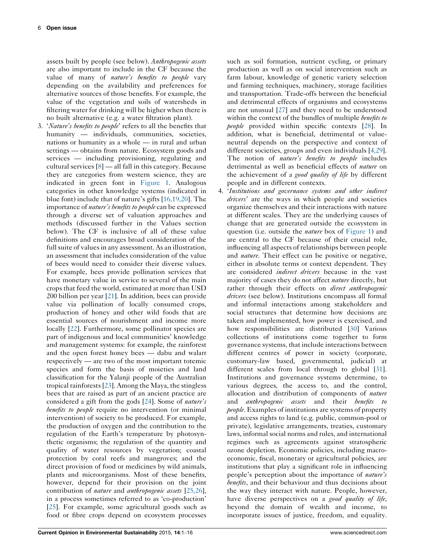assets built by people (see below). Anthropogenic assets are also important to include in the CF because the value of many of *nature's benefits to people* vary depending on the availability and preferences for alternative sources of those benefits. For example, the value of the vegetation and soils of watersheds in filtering water for drinking will be higher when there is no built alternative (e.g. a water filtration plant).

3. 'Nature's benefits to people' refers to all the benefits that humanity — individuals, communities, societies, nations or humanity as a whole — in rural and urban settings — obtains from nature. Ecosystem goods and services — including provisioning, regulating and cultural services [[8\]](#page-13-0) — all fall in this category. Because they are categories from western science, they are indicated in green font in [Figure](#page-4-0) 1. Analogous categories in other knowledge systems (indicated in blue font) include that of nature's gifts [[16,19,20\]](#page-13-0). The importance of nature's benefits to people can be expressed through a diverse set of valuation approaches and methods (discussed further in the Values section below). The CF is inclusive of all of these value definitions and encourages broad consideration of the full suite of values in any assessment. As an illustration, an assessment that includes consideration of the value of bees would need to consider their diverse values. For example, bees provide pollination services that have monetary value in service to several of the main crops that feed the world, estimated at more than USD 200 billion per year [\[21](#page-13-0)]. In addition, bees can provide value via pollination of locally consumed crops, production of honey and other wild foods that are essential sources of nourishment and income more locally [\[22](#page-13-0)]. Furthermore, some pollinator species are part of indigenous and local communities' knowledge and management systems: for example, the rainforest and the open forest honey bees — dabu and walarr respectively — are two of the most important totemic species and form the basis of moieties and land classification for the Yalanji people of the Australian tropical rainforests[[23\]](#page-13-0). Among the Maya, the stingless bees that are raised as part of an ancient practice are considered a gift from the gods [[24\]](#page-13-0). Some of nature's benefits to people require no intervention (or minimal intervention) of society to be produced. For example, the production of oxygen and the contribution to the regulation of the Earth's temperature by photosynthetic organisms; the regulation of the quantity and quality of water resources by vegetation; coastal protection by coral reefs and mangroves; and the direct provision of food or medicines by wild animals, plants and microorganisms. Most of these benefits, however, depend for their provision on the joint contribution of *nature* and *anthropogenic assets* [[25,26](#page-13-0)], in a process sometimes referred to as 'co-production' [[25\]](#page-13-0). For example, some agricultural goods such as food or fibre crops depend on ecosystem processes

such as soil formation, nutrient cycling, or primary production as well as on social intervention such as farm labour, knowledge of genetic variety selection and farming techniques, machinery, storage facilities and transportation. Trade-offs between the beneficial and detrimental effects of organisms and ecosystems are not unusual [[27\]](#page-14-0) and they need to be understood within the context of the bundles of multiple *benefits to* people provided within specific contexts [[28\]](#page-14-0). In addition, what is beneficial, detrimental or valueneutral depends on the perspective and context of different societies, groups and even individuals [\[4,29](#page-13-0)]. The notion of *nature's benefits to people* includes detrimental as well as beneficial effects of nature on the achievement of a good quality of life by different people and in different contexts.

4. 'Institutions and governance systems and other indirect drivers' are the ways in which people and societies organize themselves and their interactions with nature at different scales. They are the underlying causes of change that are generated outside the ecosystem in question (i.e. outside the *nature* box of [Figure](#page-4-0) 1) and are central to the CF because of their crucial role, influencing all aspects of relationships between people and nature. Their effect can be positive or negative, either in absolute terms or context dependent. They are considered *indirect drivers* because in the vast majority of cases they do not affect nature directly, but rather through their effects on *direct anthropogenic* drivers (see below). Institutions encompass all formal and informal interactions among stakeholders and social structures that determine how decisions are taken and implemented, how power is exercised, and how responsibilities are distributed [[30\]](#page-14-0) Various collections of institutions come together to form governance systems, that include interactions between different centres of power in society (corporate, customary-law based, governmental, judicial) at different scales from local through to global [[31](#page-14-0)]. Institutions and governance systems determine, to various degrees, the access to, and the control, allocation and distribution of components of nature and anthropogenic assets and their benefits to people. Examples of institutions are systems of property and access rights to land (e.g. public, common-pool or private), legislative arrangements, treaties, customary laws, informal social norms and rules, and international regimes such as agreements against stratospheric ozone depletion. Economic policies, including macroeconomic, fiscal, monetary or agricultural policies, are institutions that play a significant role in influencing people's perception about the importance of nature's benefits, and their behaviour and thus decisions about the way they interact with nature. People, however, have diverse perspectives on a good quality of life, beyond the domain of wealth and income, to incorporate issues of justice, freedom, and equality.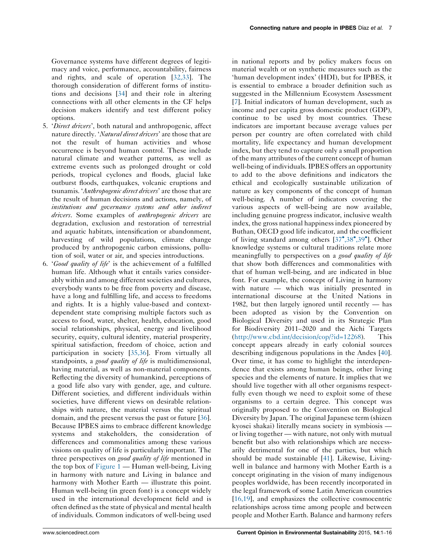Governance systems have different degrees of legitimacy and voice, performance, accountability, fairness and rights, and scale of operation [\[32,33\]](#page-14-0). The thorough consideration of different forms of institutions and decisions [\[34](#page-14-0)] and their role in altering connections with all other elements in the CF helps decision makers identify and test different policy options.

- 5. 'Direct drivers', both natural and anthropogenic, affect nature directly. 'Natural direct drivers' are those that are not the result of human activities and whose occurrence is beyond human control. These include natural climate and weather patterns, as well as extreme events such as prolonged drought or cold periods, tropical cyclones and floods, glacial lake outburst floods, earthquakes, volcanic eruptions and tsunamis. *'Anthropogenic direct drivers'* are those that are the result of human decisions and actions, namely, of institutions and governance systems and other indirect drivers. Some examples of *anthropogenic drivers* are degradation, exclusion and restoration of terrestrial and aquatic habitats, intensification or abandonment, harvesting of wild populations, climate change produced by anthropogenic carbon emissions, pollution of soil, water or air, and species introductions.
- 6. 'Good quality of life' is the achievement of a fulfilled human life. Although what it entails varies considerably within and among different societies and cultures, everybody wants to be free from poverty and disease, have a long and fulfilling life, and access to freedoms and rights. It is a highly value-based and contextdependent state comprising multiple factors such as access to food, water, shelter, health, education, good social relationships, physical, energy and livelihood security, equity, cultural identity, material prosperity, spiritual satisfaction, freedom of choice, action and participation in society [\[35,36\]](#page-14-0). From virtually all standpoints, a *good quality of life* is multidimensional, having material, as well as non-material components. Reflecting the diversity of humankind, perceptions of a good life also vary with gender, age, and culture. Different societies, and different individuals within societies, have different views on desirable relationships with nature, the material versus the spiritual domain, and the present versus the past or future [\[36](#page-14-0)]. Because IPBES aims to embrace different knowledge systems and stakeholders, the consideration of differences and commonalities among these various visions on quality of life is particularly important. The three perspectives on *good quality of life* mentioned in the top box of [Figure](#page-4-0) 1 — Human well-being, Living in harmony with nature and Living in balance and harmony with Mother Earth — illustrate this point. Human well-being (in green font) is a concept widely used in the international development field and is often defined as the state of physical and mental health of individuals. Common indicators of well-being used

in national reports and by policy makers focus on material wealth or on synthetic measures such as the 'human development index' (HDI), but for IPBES, it is essential to embrace a broader definition such as suggested in the Millennium Ecosystem Assessment [\[7\]](#page-13-0). Initial indicators of human development, such as income and per capita gross domestic product (GDP), continue to be used by most countries. These indicators are important because average values per person per country are often correlated with child mortality, life expectancy and human development index, but they tend to capture only a small proportion of the many attributes of the current concept of human well-being of individuals. IPBES offers an opportunity to add to the above definitions and indicators the ethical and ecologically sustainable utilization of nature as key components of the concept of human well-being. A number of indicators covering the various aspects of well-being are now available, including genuine progress indicator, inclusive wealth index, the gross national happiness index pioneered by Buthan, OECD good life indicator, and the coefficient of living standard among others [\[37](#page-14-0)°[,38](#page-14-0)°[,39](#page-14-0)°]. Other knowledge systems or cultural traditions relate more meaningfully to perspectives on a *good quality of life* that show both differences and commonalities with that of human well-being, and are indicated in blue font. For example, the concept of Living in harmony with nature — which was initially presented in international discourse at the United Nations in 1982, but then largely ignored until recently — has been adopted as vision by the Convention on Biological Diversity and used in its Strategic Plan for Biodiversity 2011–2020 and the Aichi Targets [\(http://www.cbd.int/decision/cop/?id=12268](http://www.cbd.int/decision/cop/?id=12268)). This concept appears already in early colonial sources describing indigenous populations in the Andes [[40\]](#page-14-0). Over time, it has come to highlight the interdependence that exists among human beings, other living species and the elements of nature. It implies that we should live together with all other organisms respectfully even though we need to exploit some of these organisms to a certain degree. This concept was originally proposed to the Convention on Biological Diversity by Japan. The original Japanese term (shizen kyosei shakai) literally means society in symbiosis or living together — with nature, not only with mutual benefit but also with relationships which are necessarily detrimental for one of the parties, but which should be made sustainable [[41](#page-14-0)]. Likewise, Livingwell in balance and harmony with Mother Earth is a concept originating in the vision of many indigenous peoples worldwide, has been recently incorporated in the legal framework of some Latin American countries [\[16,19](#page-13-0)], and emphasizes the collective cosmocentric relationships across time among people and between people and Mother Earth. Balance and harmony refers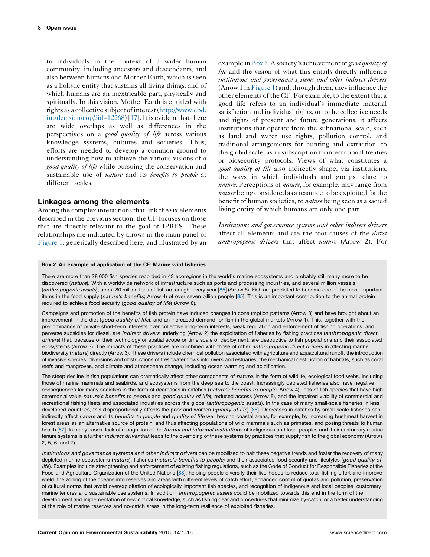<span id="page-7-0"></span>to individuals in the context of a wider human community, including ancestors and descendants, and also between humans and Mother Earth, which is seen as a holistic entity that sustains all living things, and of which humans are an inextricable part, physically and spiritually. In this vision, Mother Earth is entitled with rights as a collective subject of interest [\(http://www.cbd.](http://www.cbd.int/decision/cop/?id=12268)  $int/decision/cop$ ?id=12268) [[17\]](#page-13-0). It is evident that there are wide overlaps as well as differences in the perspectives on a good quality of life across various knowledge systems, cultures and societies. Thus, efforts are needed to develop a common ground to understanding how to achieve the various visions of a good quality of life while pursuing the conservation and sustainable use of *nature* and its *benefits to people* at different scales.

## Linkages among the elements

Among the complex interactions that link the six elements described in the previous section, the CF focuses on those that are directly relevant to the goal of IPBES. These relationships are indicated by arrows in the main panel of [Figure](#page-4-0) 1, generically described here, and illustrated by an

example in Box 2. A society's achievement of good quality of life and the vision of what this entails directly influence institutions and governance systems and other indirect drivers (Arrow 1 in [Figure](#page-4-0) 1) and, through them, they influence the other elements of the CF. For example, to the extent that a good life refers to an individual's immediate material satisfaction and individual rights, or to the collective needs and rights of present and future generations, it affects institutions that operate from the subnational scale, such as land and water use rights, pollution control, and traditional arrangements for hunting and extraction, to the global scale, as in subscription to international treaties or biosecurity protocols. Views of what constitutes a good quality of life also indirectly shape, via institutions, the ways in which individuals and groups relate to nature. Perceptions of nature, for example, may range from nature being considered as a resource to be exploited for the benefit of human societies, to nature being seen as a sacred living entity of which humans are only one part.

Institutions and governance systems and other indirect drivers affect all elements and are the root causes of the *direct* anthropogenic drivers that affect nature (Arrow 2). For

#### Box 2 An example of application of the CF: Marine wild fisheries

There are more than 28 000 fish species recorded in 43 ecoregions in the world's marine ecosystems and probably still many more to be discovered (nature). With a worldwide network of infrastructure such as ports and processing industries, and several million vessels (anthropogenic assets), about 80 million tons of fish are caught every year [[85](#page-15-0)] (Arrow 6). Fish are predicted to become one of the most important items in the food supply (nature's benefits; Arrow 4) of over seven billion people [\[85](#page-15-0)]. This is an important contribution to the animal protein required to achieve food security (good quality of life) (Arrow 8).

Campaigns and promotion of the benefits of fish protein have induced changes in consumption patterns (Arrow 8) and have brought about an improvement in the diet (good quality of life), and an increased demand for fish in the global markets (Arrow 1). This, together with the predominance of private short-term interests over collective long-term interests, weak regulation and enforcement of fishing operations, and perverse subsidies for diesel, are indirect drivers underlying (Arrow 2) the exploitation of fisheries by fishing practices (anthropogenic direct drivers) that, because of their technology or spatial scope or time scale of deployment, are destructive to fish populations and their associated ecosystems (Arrow 3). The impacts of these practices are combined with those of other anthropogenic direct drivers in affecting marine biodiversity (nature) directly (Arrow 3). These drivers include chemical pollution associated with agriculture and aquacultural runoff, the introduction of invasive species, diversions and obstructions of freshwater flows into rivers and estuaries, the mechanical destruction of habitats, such as coral reefs and mangroves, and climate and atmosphere change, including ocean warming and acidification.

The steep decline in fish populations can dramatically affect other components of nature, in the form of wildlife, ecological food webs, including those of marine mammals and seabirds, and ecosystems from the deep sea to the coast. Increasingly depleted fisheries also have negative consequences for many societies in the form of decreases in catches (nature's benefits to people; Arrow 4), loss of fish species that have high ceremonial value nature's benefits to people and good quality of life), reduced access (Arrow 8), and the impaired viability of commercial and recreational fishing fleets and associated industries across the globe (anthropogenic assets). In the case of many small-scale fisheries in less developed countries, this disproportionally affects the poor and women (quality of life) [[86](#page-15-0)]. Decreases in catches by small-scale fisheries can indirectly affect nature and its benefits to people and quality of life well beyond coastal areas, for example, by increasing bushmeat harvest in forest areas as an alternative source of protein, and thus affecting populations of wild mammals such as primates, and posing threats to human health [[87\]](#page-15-0). In many cases, lack of recognition of the formal and informal institutions of indigenous and local peoples and their customary marine tenure systems is a further *indirect driver* that leads to the overriding of these systems by practices that supply fish to the global economy (Arrows 2, 5, 6, and 7).

Institutions and governance systems and other indirect drivers can be mobilized to halt these negative trends and foster the recovery of many depleted marine ecosystems (nature), fisheries (nature's benefits to people) and their associated food security and lifestyles (good quality of life). Examples include strengthening and enforcement of existing fishing regulations, such as the Code of Conduct for Responsible Fisheries of the Food and Agriculture Organization of the United Nations [\[88](#page-15-0)], helping people diversify their livelihoods to reduce total fishing effort and improve wield, the zoning of the oceans into reserves and areas with different levels of catch effort, enhanced control of quotas and pollution, preservation of cultural norms that avoid overexploitation of ecologically important fish species, and recognition of indigenous and local peoples' customary marine tenures and sustainable use systems. In addition, anthropogenic assets could be mobilized towards this end in the form of the development and implementation of new critical knowledge, such as fishing gear and procedures that minimize by-catch, or a better understanding of the role of marine reserves and no-catch areas in the long-term resilience of exploited fisheries.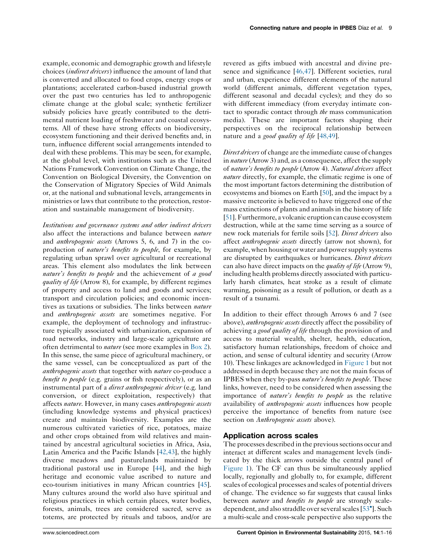example, economic and demographic growth and lifestyle choices (indirect drivers) influence the amount of land that is converted and allocated to food crops, energy crops or plantations; accelerated carbon-based industrial growth over the past two centuries has led to anthropogenic climate change at the global scale; synthetic fertilizer subsidy policies have greatly contributed to the detrimental nutrient loading of freshwater and coastal ecosystems. All of these have strong effects on biodiversity, ecosystem functioning and their derived benefits and, in turn, influence different social arrangements intended to deal with these problems. This may be seen, for example, at the global level, with institutions such as the United Nations Framework Convention on Climate Change, the Convention on Biological Diversity, the Convention on the Conservation of Migratory Species of Wild Animals or, at the national and subnational levels, arrangements in ministries or laws that contribute to the protection, restoration and sustainable management of biodiversity.

Institutions and governance systems and other indirect drivers also affect the interactions and balance between *nature* and anthropogenic assets (Arrows 5, 6, and 7) in the coproduction of *nature's benefits to people*, for example, by regulating urban sprawl over agricultural or recreational areas. This element also modulates the link between nature's benefits to people and the achievement of a good quality of life (Arrow 8), for example, by different regimes of property and access to land and goods and services; transport and circulation policies; and economic incentives as taxations or subsidies. The links between *nature* and *anthropogenic assets* are sometimes negative. For example, the deployment of technology and infrastructure typically associated with urbanization, expansion of road networks, industry and large-scale agriculture are often detrimental to nature (see more examples in [Box](#page-7-0) 2). In this sense, the same piece of agricultural machinery, or the same vessel, can be conceptualized as part of the anthropogenic assets that together with nature co-produce a benefit to people (e.g. grains or fish respectively), or as an instrumental part of a *direct anthropogenic driver* (e.g. land conversion, or direct exploitation, respectively) that affects nature. However, in many cases anthropogenic assets (including knowledge systems and physical practices) create and maintain biodiversity. Examples are the numerous cultivated varieties of rice, potatoes, maize and other crops obtained from wild relatives and maintained by ancestral agricultural societies in Africa, Asia, Latin America and the Pacific Islands [[42,43](#page-14-0)], the highly diverse meadows and pasturelands maintained by traditional pastoral use in Europe [\[44](#page-14-0)], and the high heritage and economic value ascribed to nature and eco-tourism initiatives in many African countries [\[45](#page-14-0)]. Many cultures around the world also have spiritual and religious practices in which certain places, water bodies, forests, animals, trees are considered sacred, serve as totems, are protected by rituals and taboos, and/or are

revered as gifts imbued with ancestral and divine presence and significance [\[46,47\]](#page-14-0). Different societies, rural and urban, experience different elements of the natural world (different animals, different vegetation types, different seasonal and decadal cycles); and they do so with different immediacy (from everyday intimate contact to sporadic contact through the mass communication media). These are important factors shaping their perspectives on the reciprocal relationship between nature and a good quality of life [\[48,49\]](#page-14-0).

Direct drivers of change are the immediate cause of changes in *nature* (Arrow 3) and, as a consequence, affect the supply of nature's benefits to people (Arrow 4). Natural drivers affect nature directly, for example, the climatic regime is one of the most important factors determining the distribution of ecosystems and biomes on Earth [\[50](#page-14-0)], and the impact by a massive meteorite is believed to have triggered one of the mass extinctions of plants and animals in the history of life [\[51](#page-14-0)].Furthermore, a volcanic eruption can cause ecosystem destruction, while at the same time serving as a source of new rock materials for fertile soils [\[52\]](#page-14-0). *Direct drivers* also affect anthropogenic assets directly (arrow not shown), for example, when housing or water and power supply systems are disrupted by earthquakes or hurricanes. *Direct drivers* can also have direct impacts on the *quality of life* (Arrow 9), including health problems directly associated with particularly harsh climates, heat stroke as a result of climate warming, poisoning as a result of pollution, or death as a result of a tsunami.

In addition to their effect through Arrows 6 and 7 (see above), *anthropogenic assets* directly affect the possibility of achieving a *good quality of life* through the provision of and access to material wealth, shelter, health, education, satisfactory human relationships, freedom of choice and action, and sense of cultural identity and security (Arrow 10). These linkages are acknowledged in [Figure](#page-4-0) 1 but not addressed in depth because they are not the main focus of IPBES when they by-pass nature's benefits to people. These links, however, need to be considered when assessing the importance of *nature's benefits to people* as the relative availability of *anthropogenic assets* influences how people perceive the importance of benefits from nature (see section on Anthropogenic assets above).

## Application across scales

The processes described in the previous sections occur and interact at different scales and management levels (indicated by the thick arrows outside the central panel of [Figure](#page-4-0) 1). The CF can thus be simultaneously applied locally, regionally and globally to, for example, different scales of ecological processes and scales of potential drivers of change. The evidence so far suggests that causal links between *nature* and *benefits to people* are strongly scale-dependent, and also straddle over several scales [[53](#page-14-0)<sup>°</sup>]. Such a multi-scale and cross-scale perspective also supports the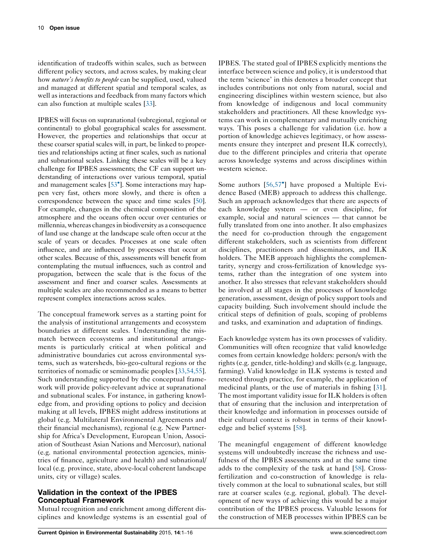identification of tradeoffs within scales, such as between different policy sectors, and across scales, by making clear how *nature's benefits to people* can be supplied, used, valued and managed at different spatial and temporal scales, as well as interactions and feedback from many factors which can also function at multiple scales [[33](#page-14-0)].

IPBES will focus on supranational (subregional, regional or continental) to global geographical scales for assessment. However, the properties and relationships that occur at these coarser spatial scales will, in part, be linked to properties and relationships acting at finer scales, such as national and subnational scales. Linking these scales will be a key challenge for IPBES assessments; the CF can support understanding of interactions over various temporal, spatial and management scales [\[53](#page-14-0)<sup>°</sup>]. Some interactions may happen very fast, others more slowly, and there is often a correspondence between the space and time scales [[50](#page-14-0)]. For example, changes in the chemical composition of the atmosphere and the oceans often occur over centuries or millennia, whereas changes in biodiversity as a consequence of land use change at the landscape scale often occur at the scale of years or decades. Processes at one scale often influence, and are influenced by processes that occur at other scales. Because of this, assessments will benefit from contemplating the mutual influences, such as control and propagation, between the scale that is the focus of the assessment and finer and coarser scales. Assessments at multiple scales are also recommended as a means to better represent complex interactions across scales.

The conceptual framework serves as a starting point for the analysis of institutional arrangements and ecosystem boundaries at different scales. Understanding the mismatch between ecosystems and institutional arrangements is particularly critical at when political and administrative boundaries cut across environmental systems, such as watersheds, bio-geo-cultural regions or the territories of nomadic or seminomadic peoples [\[33,54,55](#page-14-0)]. Such understanding supported by the conceptual framework will provide policy-relevant advice at supranational and subnational scales. For instance, in gathering knowledge from, and providing options to policy and decision making at all levels, IPBES might address institutions at global (e.g. Multilateral Environmental Agreements and their financial mechanisms), regional (e.g. New Partnership for Africa's Development, European Union, Association of Southeast Asian Nations and Mercosur), national (e.g. national environmental protection agencies, ministries of finance, agriculture and health) and subnational/ local (e.g. province, state, above-local coherent landscape units, city or village) scales.

# Validation in the context of the IPBES Conceptual Framework

Mutual recognition and enrichment among different disciplines and knowledge systems is an essential goal of IPBES. The stated goal of IPBES explicitly mentions the interface between science and policy, it is understood that the term 'science' in this denotes a broader concept that includes contributions not only from natural, social and engineering disciplines within western science, but also from knowledge of indigenous and local community stakeholders and practitioners. All these knowledge systems can work in complementary and mutually enriching ways. This poses a challenge for validation (i.e. how a portion of knowledge achieves legitimacy, or how assessments ensure they interpret and present ILK correctly), due to the different principles and criteria that operate across knowledge systems and across disciplines within western science.

Some authors [[56,57](#page-14-0)<sup>°</sup>] have proposed a Multiple Evidence Based (MEB) approach to address this challenge. Such an approach acknowledges that there are aspects of each knowledge system — or even discipline, for example, social and natural sciences — that cannot be fully translated from one into another. It also emphasizes the need for co-production through the engagement different stakeholders, such as scientists from different disciplines, practitioners and disseminators, and ILK holders. The MEB approach highlights the complementarity, synergy and cross-fertilization of knowledge systems, rather than the integration of one system into another. It also stresses that relevant stakeholders should be involved at all stages in the processes of knowledge generation, assessment, design of policy support tools and capacity building. Such involvement should include the critical steps of definition of goals, scoping of problems and tasks, and examination and adaptation of findings.

Each knowledge system has its own processes of validity. Communities will often recognize that valid knowledge comes from certain knowledge holders: person/s with the rights (e.g. gender, title-holding) and skills (e.g. language, farming). Valid knowledge in ILK systems is tested and retested through practice, for example, the application of medicinal plants, or the use of materials in fishing [[31](#page-14-0)]. The most important validity issue for ILK holders is often that of ensuring that the inclusion and interpretation of their knowledge and information in processes outside of their cultural context is robust in terms of their knowledge and belief systems [\[58](#page-14-0)].

The meaningful engagement of different knowledge systems will undoubtedly increase the richness and usefulness of the IPBES assessments and at the same time adds to the complexity of the task at hand [\[58](#page-14-0)]. Crossfertilization and co-construction of knowledge is relatively common at the local to subnational scales, but still rare at coarser scales (e.g. regional, global). The development of new ways of achieving this would be a major contribution of the IPBES process. Valuable lessons for the construction of MEB processes within IPBES can be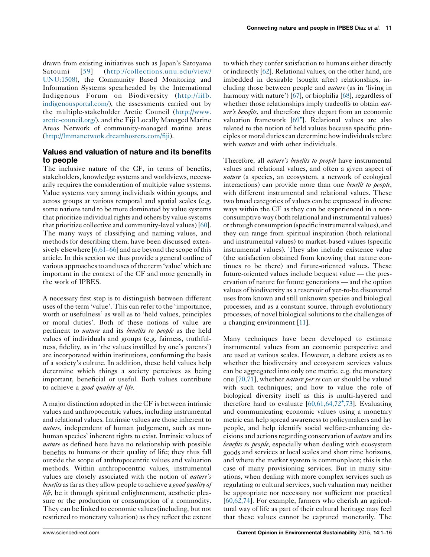drawn from existing initiatives such as Japan's Satoyama Satoumi [[59](#page-14-0)] ([http://collections.unu.edu/view/](http://collections.unu.edu/view/UNU:1508) [UNU:1508](http://collections.unu.edu/view/UNU:1508)), the Community Based Monitoring and Information Systems spearheaded by the International Indigenous Forum on Biodiversity ([http://iifb.](http://iifb.indigenousportal.com/) [indigenousportal.com/\)](http://iifb.indigenousportal.com/), the assessments carried out by the multiple-stakeholder Arctic Council ([http://www.](http://www.arctic-council.org/) [arctic-council.org/](http://www.arctic-council.org/)), and the Fiji Locally Managed Marine Areas Network of community-managed marine areas [\(http://lmmanetwork.dreamhosters.com/fiji\)](http://lmmanetwork.dreamhosters.com/fiji).

# Values and valuation of nature and its benefits to people

The inclusive nature of the CF, in terms of benefits, stakeholders, knowledge systems and worldviews, necessarily requires the consideration of multiple value systems. Value systems vary among individuals within groups, and across groups at various temporal and spatial scales (e.g. some nations tend to be more dominated by value systems that prioritize individual rights and others by value systems that prioritize collective and community-level values) [[60](#page-14-0)]. The many ways of classifying and naming values, and methods for describing them, have been discussed extensively elsewhere  $[6,61–66]$  $[6,61–66]$  $[6,61–66]$  and are beyond the scope of this article. In this section we thus provide a general outline of various approaches to and uses of the term 'value' which are important in the context of the CF and more generally in the work of IPBES.

A necessary first step is to distinguish between different uses of the term 'value'. This can refer to the 'importance, worth or usefulness' as well as to 'held values, principles or moral duties'. Both of these notions of value are pertinent to *nature* and its *benefits to people* as the held values of individuals and groups (e.g. fairness, truthfulness, fidelity, as in 'the values instilled by one's parents') are incorporated within institutions, conforming the basis of a society's culture. In addition, these held values help determine which things a society perceives as being important, beneficial or useful. Both values contribute to achieve a *good quality of life*.

A major distinction adopted in the CF is between intrinsic values and anthropocentric values, including instrumental and relational values. Intrinsic values are those inherent to nature, independent of human judgement, such as nonhuman species' inherent rights to exist. Intrinsic values of nature as defined here have no relationship with possible benefits to humans or their quality of life; they thus fall outside the scope of anthropocentric values and valuation methods. Within anthropocentric values, instrumental values are closely associated with the notion of *nature's* benefits as far as they allow people to achieve a good quality of life, be it through spiritual enlightenment, aesthetic pleasure or the production or consumption of a commodity. They can be linked to economic values(including, but not restricted to monetary valuation) as they reflect the extent

to which they confer satisfaction to humans either directly or indirectly [\[62\]](#page-15-0). Relational values, on the other hand, are imbedded in desirable (sought after) relationships, including those between people and nature (as in 'living in harmony with nature') [\[67\]](#page-15-0), or biophilia [\[68\]](#page-15-0), regardless of whether those relationships imply tradeoffs to obtain *nat*ure's benefits, and therefore they depart from an economic valuation framework [\[69](#page-15-0)<sup>°</sup>]. Relational values are also related to the notion of held values because specific principles or moral duties can determine how individuals relate with *nature* and with other individuals.

Therefore, all *nature's benefits to people* have instrumental values and relational values, and often a given aspect of nature (a species, an ecosystem, a network of ecological interactions) can provide more than one *benefit to people*, with different instrumental and relational values. These two broad categories of values can be expressed in diverse ways within the CF as they can be experienced in a nonconsumptive way (both relational and instrumental values) or through consumption (specific instrumental values), and they can range from spiritual inspiration (both relational and instrumental values) to market-based values (specific instrumental values). They also include existence value (the satisfaction obtained from knowing that nature continues to be there) and future-oriented values. These future-oriented values include bequest value — the preservation of nature for future generations — and the option values of biodiversity as a reservoir of yet-to-be discovered uses from known and still unknown species and biological processes, and as a constant source, through evolutionary processes, of novel biological solutions to the challenges of a changing environment [\[11](#page-13-0)].

Many techniques have been developed to estimate instrumental values from an economic perspective and are used at various scales. However, a debate exists as to whether the biodiversity and ecosystem services values can be aggregated into only one metric, e.g. the monetary one [\[70,71\]](#page-15-0), whether *nature per se* can or should be valued with such techniques; and how to value the role of biological diversity itself as this is multi-layered and therefore hard to evaluate [[60,61,64,72](#page-14-0)°[,73\]](#page-14-0). Evaluating and communicating economic values using a monetary metric can help spread awareness to policymakers and lay people, and help identify social welfare-enhancing decisions and actions regarding conservation of *nature* and its benefits to people, especially when dealing with ecosystem goods and services at local scales and short time horizons, and where the market system is commonplace; this is the case of many provisioning services. But in many situations, when dealing with more complex services such as regulating or cultural services, such valuation may neither be appropriate nor necessary nor sufficient nor practical [[60,62,74](#page-14-0)]. For example, farmers who cherish an agricultural way of life as part of their cultural heritage may feel that these values cannot be captured monetarily. The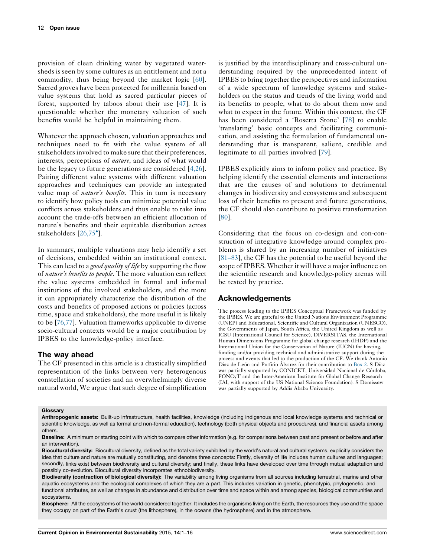provision of clean drinking water by vegetated watersheds is seen by some cultures as an entitlement and not a commodity, thus being beyond the market logic [\[60](#page-14-0)]. Sacred groves have been protected for millennia based on value systems that hold as sacred particular pieces of forest, supported by taboos about their use [[47\]](#page-14-0). It is questionable whether the monetary valuation of such benefits would be helpful in maintaining them.

Whatever the approach chosen, valuation approaches and techniques need to fit with the value system of all stakeholders involved to make sure that their preferences, interests, perceptions of nature, and ideas of what would be the legacy to future generations are considered [[4,26](#page-13-0)]. Pairing different value systems with different valuation approaches and techniques can provide an integrated value map of *nature's benefits*. This in turn is necessary to identify how policy tools can minimize potential value conflicts across stakeholders and thus enable to take into account the trade-offs between an efficient allocation of nature's benefits and their equitable distribution across stakeholders [[26,75](#page-14-0)<sup>°</sup>].

In summary, multiple valuations may help identify a set of decisions, embedded within an institutional context. This can lead to a good quality of life by supporting the flow of nature's benefits to people. The more valuation can reflect the value systems embedded in formal and informal institutions of the involved stakeholders, and the more it can appropriately characterize the distribution of the costs and benefits of proposed actions or policies (across time, space and stakeholders), the more useful it is likely to be [\[76,77\]](#page-15-0). Valuation frameworks applicable to diverse socio-cultural contexts would be a major contribution by IPBES to the knowledge-policy interface.

# The way ahead

The CF presented in this article is a drastically simplified representation of the links between very heterogenous constellation of societies and an overwhelmingly diverse natural world, We argue that such degree of simplification is justified by the interdisciplinary and cross-cultural understanding required by the unprecedented intent of IPBES to bring together the perspectives and information of a wide spectrum of knowledge systems and stakeholders on the status and trends of the living world and its benefits to people, what to do about them now and what to expect in the future. Within this context, the CF has been considered a 'Rosetta Stone' [[78\]](#page-15-0) to enable 'translating' basic concepts and facilitating communication, and assisting the formulation of fundamental understanding that is transparent, salient, credible and legitimate to all parties involved [\[79](#page-15-0)].

IPBES explicitly aims to inform policy and practice. By helping identify the essential elements and interactions that are the causes of and solutions to detrimental changes in biodiversity and ecosystems and subsequent loss of their benefits to present and future generations, the CF should also contribute to positive transformation [[80\]](#page-15-0).

Considering that the focus on co-design and con-construction of integrative knowledge around complex problems is shared by an increasing number of initiatives [\[81](#page-15-0)–83], the CF has the potential to be useful beyond the scope of IPBES. Whether it will have a major influence on the scientific research and knowledge-policy arenas will be tested by practice.

# Acknowledgements

The process leading to the IPBES Conceptual Framework was funded by the IPBES. We are grateful to the United Nations Environment Programme (UNEP) and Educational, Scientific and Cultural Organization (UNESCO), the Governments of Japan, South Africa, the United Kingdom as well as ICSU (International Council for Science), DIVERSITAS, the International Human Dimensions Programme for global change research (IHDP) and the International Union for the Conservation of Nature (IUCN) for hosting, funding and/or providing technical and administrative support during the process and events that led to the production of the CF. We thank Antonio Díaz de León and Porfirio Álvarez for their contribution to [Box](#page-7-0) 2. S Díaz was partially supported by CONICET, Universidad Nacional de Córdoba, FONCyT and the Inter-American Institute for Global Change Research (IAI, with support of the US National Science Foundation). S Demissew was partially supported by Addis Ababa University.

#### **Glossary**

Anthropogenic assets: Built-up infrastructure, health facilities, knowledge (including indigenous and local knowledge systems and technical or scientific knowledge, as well as formal and non-formal education), technology (both physical objects and procedures), and financial assets among others.

Biocultural diversity: Biocultural diversity, defined as the total variety exhibited by the world's natural and cultural systems, explicitly considers the idea that culture and nature are mutually constituting, and denotes three concepts: Firstly, diversity of life includes human cultures and languages; secondly, links exist between biodiversity and cultural diversity; and finally, these links have developed over time through mutual adaptation and possibly co-evolution. Biocultural diversity incorporates ethnobiodiversity.

Biodiversity (contraction of biological diversity): The variability among living organisms from all sources including terrestrial, marine and other aquatic ecosystems and the ecological complexes of which they are a part. This includes variation in genetic, phenotypic, phylogenetic, and functional attributes, as well as changes in abundance and distribution over time and space within and among species, biological communities and ecosystems.

Biosphere: All the ecosystems of the world considered together. It includes the organisms living on the Earth, the resources they use and the space they occupy on part of the Earth's crust (the lithosphere), in the oceans (the hydrosphere) and in the atmosphere.

Baseline: A minimum or starting point with which to compare other information (e.g. for comparisons between past and present or before and after an intervention).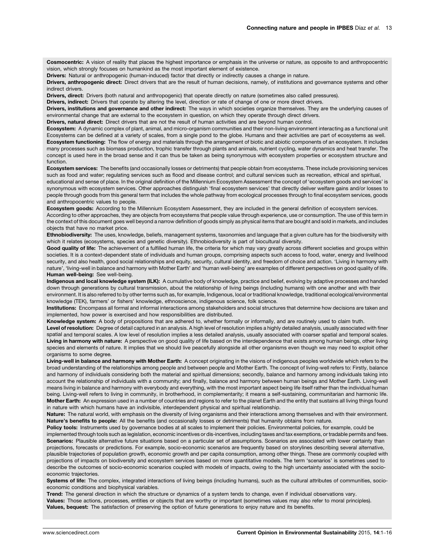Cosmocentric: A vision of reality that places the highest importance or emphasis in the universe or nature, as opposite to and anthropocentric vision, which strongly focuses on humankind as the most important element of existence.

Drivers: Natural or anthropogenic (human-induced) factor that directly or indirectly causes a change in nature.

Drivers, anthropogenic direct: Direct drivers that are the result of human decisions, namely, of institutions and governance systems and other indirect drivers.

Drivers, direct: Drivers (both natural and anthropogenic) that operate directly on nature (sometimes also called pressures).

Drivers, indirect: Drivers that operate by altering the level, direction or rate of change of one or more direct drivers.

Drivers, institutions and governance and other indirect: The ways in which societies organize themselves. They are the underlying causes of environmental change that are external to the ecosystem in question, on which they operate through direct drivers.

Drivers, natural direct: Direct drivers that are not the result of human activities and are beyond human control.

Ecosystem: A dynamic complex of plant, animal, and micro-organism communities and their non-living environment interacting as a functional unit Ecosystems can be defined at a variety of scales, from a single pond to the globe. Humans and their activities are part of ecosystems as well. Ecosystem functioning: The flow of energy and materials through the arrangement of biotic and abiotic components of an ecosystem. It includes many processes such as biomass production, trophic transfer through plants and animals, nutrient cycling, water dynamics and heat transfer. The concept is used here in the broad sense and it can thus be taken as being synonymous with ecosystem properties or ecosystem structure and function.

Ecosystem services: The benefits (and occasionally losses or detriments) that people obtain from ecosystems. These include provisioning services such as food and water; regulating services such as flood and disease control; and cultural services such as recreation, ethical and spiritual,

educational and sense of place. In the original definition of the Millennium Ecosystem Assessment the concept of 'ecosystem goods and services' is synonymous with ecosystem services. Other approaches distinguish 'final ecosystem services' that directly deliver welfare gains and/or losses to people through goods from this general term that includes the whole pathway from ecological processes through to final ecosystem services, goods and anthropocentric values to people.

Ecosystem goods: According to the Millennium Ecosystem Assessment, they are included in the general definition of ecosystem services.

According to other approaches, they are objects from ecosystems that people value through experience, use or consumption. The use of this term in the context of this document goes well beyond a narrow definition of goods simply as physical items that are bought and sold in markets, and includes objects that have no market price.

Ethnobiodiversity: The uses, knowledge, beliefs, management systems, taxonomies and language that a given culture has for the biodiversity with which it relates (ecosystems, species and genetic diversity). Ethnobiodiversity is part of biocultural diversity.

Good quality of life: The achievement of a fulfilled human life, the criteria for which may vary greatly across different societies and groups within societies. It is a context-dependent state of individuals and human groups, comprising aspects such access to food, water, energy and livelihood security, and also health, good social relationships and equity, security, cultural identity, and freedom of choice and action. 'Living in harmony with nature', 'living-well in balance and harmony with Mother Earth' and 'human well-being' are examples of different perspectives on good quality of life. Human well-being: See well-being.

Indigenous and local knowledge system (ILK): A cumulative body of knowledge, practice and belief, evolving by adaptive processes and handed down through generations by cultural transmission, about the relationship of living beings (including humans) with one another and with their environment. It is also referred to by other terms such as, for example, Indigenous, local or traditional knowledge, traditional ecological/environmental

knowledge (TEK), farmers' or fishers' knowledge, ethnoscience, indigenous science, folk science. Institutions: Encompass all formal and informal interactions among stakeholders and social structures that determine how decisions are taken and implemented, how power is exercised and how responsibilities are distributed.

Knowledge system: A body of propositions that are adhered to, whether formally or informally, and are routinely used to claim truth.

Level of resolution: Degree of detail captured in an analysis. A high level of resolution implies a highly detailed analysis, usually associated with finer spatial and temporal scales. A low level of resolution implies a less detailed analysis, usually associated with coarser spatial and temporal scales. Living in harmony with nature: A perspective on good quality of life based on the interdependence that exists among human beings, other living species and elements of nature. It implies that we should live peacefully alongside all other organisms even though we may need to exploit other organisms to some degree.

Living-well in balance and harmony with Mother Earth: A concept originating in the visions of indigenous peoples worldwide which refers to the broad understanding of the relationships among people and between people and Mother Earth. The concept of living-well refers to: Firstly, balance and harmony of individuals considering both the material and spiritual dimensions; secondly, balance and harmony among individuals taking into account the relationship of individuals with a community; and finally, balance and harmony between human beings and Mother Earth. Living-well means living in balance and harmony with everybody and everything, with the most important aspect being life itself rather than the individual human being. Living-well refers to living in community, in brotherhood, in complementarity; it means a self-sustaining, communitarian and harmonic life. Mother Earth: An expression used in a number of countries and regions to refer to the planet Earth and the entity that sustains all living things found in nature with which humans have an indivisible, interdependent physical and spiritual relationship.

Nature: The natural world, with emphasis on the diversity of living organisms and their interactions among themselves and with their environment. Nature's benefits to people: All the benefits (and occasionally losses or detriments) that humanity obtains from nature.

Policy tools: Instruments used by governance bodies at all scales to implement their policies. Environmental policies, for example, could be implemented through tools such as legislation, economic incentives or dis-incentives, including taxes and tax exemptions, or tradable permits and fees. Scenarios: Plausible alternative future situations based on a particular set of assumptions. Scenarios are associated with lower certainty than projections, forecasts or predictions. For example, socio-economic scenarios are frequently based on storylines describing several alternative, plausible trajectories of population growth, economic growth and per capita consumption, among other things. These are commonly coupled with projections of impacts on biodiversity and ecosystem services based on more quantitative models. The term 'scenarios' is sometimes used to describe the outcomes of socio-economic scenarios coupled with models of impacts, owing to the high uncertainty associated with the socioeconomic trajectories.

Systems of life: The complex, integrated interactions of living beings (including humans), such as the cultural attributes of communities, socioeconomic conditions and biophysical variables.

Trend: The general direction in which the structure or dynamics of a system tends to change, even if individual observations vary. Values: Those actions, processes, entities or objects that are worthy or important (sometimes values may also refer to moral principles).

Values, bequest: The satisfaction of preserving the option of future generations to enjoy nature and its benefits.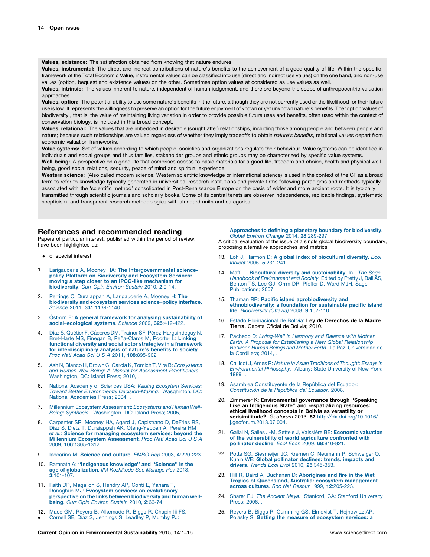<span id="page-13-0"></span>Values, existence: The satisfaction obtained from knowing that nature endures.

Values, instrumental: The direct and indirect contributions of nature's benefits to the achievement of a good quality of life. Within the specific framework of the Total Economic Value, instrumental values can be classified into use (direct and indirect use values) on the one hand, and non-use values (option, bequest and existence values) on the other. Sometimes option values at considered as use values as well.

Values, intrinsic: The values inherent to nature, independent of human judgement, and therefore beyond the scope of anthropocentric valuation approaches.

Values, option: The potential ability to use some nature's benefits in the future, although they are not currently used or the likelihood for their future use is low. It represents the willingness to preserve an option for the future enjoyment of known or yet unknown nature's benefits. The 'option values of biodiversity', that is, the value of maintaining living variation in order to provide possible future uses and benefits, often used within the context of conservation biology, is included in this broad concept.

Values, relational: The values that are imbedded in desirable (sought after) relationships, including those among people and between people and nature; because such relationships are valued regardless of whether they imply tradeoffs to obtain nature's benefits, relational values depart from economic valuation frameworks.

Value systems: Set of values according to which people, societies and organizations regulate their behaviour. Value systems can be identified in individuals and social groups and thus families, stakeholder groups and ethnic groups may be characterized by specific value systems.

Well-being: A perspective on a good life that comprises access to basic materials for a good life, freedom and choice, health and physical wellbeing, good social relations, security, peace of mind and spiritual experience.

Western science: (Also called modern science, Western scientific knowledge or international science) is used in the context of the CF as a broad term to refer to knowledge typically generated in universities, research institutions and private firms following paradigms and methods typically associated with the 'scientific method' consolidated in Post-Renaissance Europe on the basis of wider and more ancient roots. It is typically transmitted through scientific journals and scholarly books. Some of its central tenets are observer independence, replicable findings, systematic scepticism, and transparent research methodologies with standard units and categories.

### References and recommended reading

Papers of particular interest, published within the period of review, have been highlighted as:

- of special interest
- 1. Larigauderie A, Mooney HA: The [Intergovernmental](http://refhub.elsevier.com/S1877-3435(14)00116-X/sbref0005) science-policy Platform on [Biodiversity](http://refhub.elsevier.com/S1877-3435(14)00116-X/sbref0005) and Ecosystem Services: moving a step closer to an IPCC-like [mechanism](http://refhub.elsevier.com/S1877-3435(14)00116-X/sbref0005) for [biodiversity](http://refhub.elsevier.com/S1877-3435(14)00116-X/sbref0005). Curr Opin Environ Sustain 2010, 2:9-14.
- 2. Perrings C, Duraiappah A, [Larigauderie](http://refhub.elsevier.com/S1877-3435(14)00116-X/sbref0010) A, Mooney H: The [biodiversity](http://refhub.elsevier.com/S1877-3435(14)00116-X/sbref0010) and ecosystem services science–policy interface. Science 2011, 331[:1139-1140.](http://refhub.elsevier.com/S1877-3435(14)00116-X/sbref0010)
- 3. Östrom E: A general framework for analysing [sustainability](http://refhub.elsevier.com/S1877-3435(14)00116-X/sbref0015) of social–[ecological](http://refhub.elsevier.com/S1877-3435(14)00116-X/sbref0015) systems. Science 2009, 325:419-422.
- 4. Díaz S, Quétier F, Cáceres DM, Trainor SF, Pérez-Harguindeguy N, [Bret-Harte](http://refhub.elsevier.com/S1877-3435(14)00116-X/sbref0020) MS, Finegan B, Peña-Claros M, Poorter L: Linking functional diversity and social actor strategies in a [framework](http://refhub.elsevier.com/S1877-3435(14)00116-X/sbref0020) f<mark>or [interdisciplinary](http://refhub.elsevier.com/S1877-3435(14)00116-X/sbref0020) analysis of nature's benefits to society.</mark><br>Proc Natl Acad Sci U S A 2011, **108**[:895-902.](http://refhub.elsevier.com/S1877-3435(14)00116-X/sbref0020)
- 5. Ash N, Blanco H, Brown C, Garcia K, Tomich T, Vira B: [Ecosystems](http://refhub.elsevier.com/S1877-3435(14)00116-X/sbref0025) and Human Well-Being: A Manual for Assessment [Practitioners](http://refhub.elsevier.com/S1877-3435(14)00116-X/sbref0025). [Washington,](http://refhub.elsevier.com/S1877-3435(14)00116-X/sbref0025) DC: Island Press; 2010, .
- 6. National Academy of Sciences USA: Valuing [Ecosytem](http://refhub.elsevier.com/S1877-3435(14)00116-X/sbref0030) Services: Toward Better Environmental [Decision-Making](http://refhub.elsevier.com/S1877-3435(14)00116-X/sbref0030). Wasghinton, DC: National [Academies](http://refhub.elsevier.com/S1877-3435(14)00116-X/sbref0030) Press; 2004, .
- 7. Millennium Ecosystem [Assessment:](http://refhub.elsevier.com/S1877-3435(14)00116-X/sbref0035) Ecosystems and Human Well-Being: Synthesis. [Washington,](http://refhub.elsevier.com/S1877-3435(14)00116-X/sbref0035) DC: Island Press; 2005, .
- 8. Carpenter SR, Mooney HA, Agard J, [Capistrano](http://refhub.elsevier.com/S1877-3435(14)00116-X/sbref0040) D, DeFries RS, Diaz S, Dietz T, Duraiappah AK, [Oteng-Yeboah](http://refhub.elsevier.com/S1877-3435(14)00116-X/sbref0040) A, Pereira HM et al.: Science for managing [ecosystem](http://refhub.elsevier.com/S1877-3435(14)00116-X/sbref0040) services: beyond the Millennium Ecosystem [Assessment](http://refhub.elsevier.com/S1877-3435(14)00116-X/sbref0040). Proc Natl Acad Sci U S A 2009, 106[:1305-1312.](http://refhub.elsevier.com/S1877-3435(14)00116-X/sbref0040)
- laccarino M: Science and culture. EMBO Rep 2003, 4[:220-223.](http://refhub.elsevier.com/S1877-3435(14)00116-X/sbref0045)
- 10. Ramnath A: [''Indigenous](http://refhub.elsevier.com/S1877-3435(14)00116-X/sbref0050) knowledge'' and ''Science'' in the age of [globalization](http://refhub.elsevier.com/S1877-3435(14)00116-X/sbref0050). IIM Kozhikode Soc Manage Rev 2013, 3[:101-107.](http://refhub.elsevier.com/S1877-3435(14)00116-X/sbref0050)
- 11. Faith DP, [Magallon](http://refhub.elsevier.com/S1877-3435(14)00116-X/sbref0055) S, Hendry AP, Conti E, Yahara T, Donoghue MJ: Evosystem services: an [evolutionary](http://refhub.elsevier.com/S1877-3435(14)00116-X/sbref0055) [perspective](http://refhub.elsevier.com/S1877-3435(14)00116-X/sbref0055) on the links between biodiversity and human wellbeing. Curr Opin [Environ](http://refhub.elsevier.com/S1877-3435(14)00116-X/sbref0055) Sustain 2010, 2:66-74.
- 12. Mace GM, Reyers B, [Alkemade](http://refhub.elsevier.com/S1877-3435(14)00116-X/sbref0060) R, Biggs R, Chapin Iii FS,  $\bullet$ Cornell SE, Díaz S, [Jennings](http://refhub.elsevier.com/S1877-3435(14)00116-X/sbref0060) S, Leadley P, Mumby PJ:

[Approaches](http://refhub.elsevier.com/S1877-3435(14)00116-X/sbref0060) to defining a planetary boundary for biodiversity. Global Environ Change 2014, 28[:289-297.](http://refhub.elsevier.com/S1877-3435(14)00116-X/sbref0060)

A critical evaluation of the issue of a single global biodiversity boundary, proposing alternative approaches and metrics.

- 13. Loh J, Harmon D: A global index of [biocultural](http://refhub.elsevier.com/S1877-3435(14)00116-X/sbref0065) diversity. Ecol Indicat 2005, 5[:231-241.](http://refhub.elsevier.com/S1877-3435(14)00116-X/sbref0065)
- 14. Maffi L: Biocultural diversity and [sustainability](http://refhub.elsevier.com/S1877-3435(14)00116-X/sbref0070). In The Sage Handbook of [Environment](http://refhub.elsevier.com/S1877-3435(14)00116-X/sbref0070) and Society. Edited by Pretty J, Ball AS, [Benton](http://refhub.elsevier.com/S1877-3435(14)00116-X/sbref0070) TS, Lee GJ, Orrm DR, Pfeffer D, Ward MJH. Sage [Publications;](http://refhub.elsevier.com/S1877-3435(14)00116-X/sbref0070) 2007.
- 15. Thaman RR: Pacific island [agrobiodiversity](http://refhub.elsevier.com/S1877-3435(14)00116-X/sbref0075) and [ethnobiodiversity:](http://refhub.elsevier.com/S1877-3435(14)00116-X/sbref0075) a foundation for sustainable pacific island<br>life. [Biodiversity](http://refhub.elsevier.com/S1877-3435(14)00116-X/sbref0075) (Ottawa) 2008, 9:102-110.
- 16. Estado [Plurinacional](http://refhub.elsevier.com/S1877-3435(14)00116-X/sbref0080) de Bolivia: Ley de Derechos de la Madre [Tierra](http://refhub.elsevier.com/S1877-3435(14)00116-X/sbref0080). Gaceta Oficial de Bolivia; 2010.
- 17. Pacheco D: [Living-Well](http://refhub.elsevier.com/S1877-3435(14)00116-X/sbref0085) in Harmony and Balance with Mother Earth. A Proposal for Establishing a New Global [Relationship](http://refhub.elsevier.com/S1877-3435(14)00116-X/sbref0085) Between Human Beings and Mother Earth. La Paz: [Universidad](http://refhub.elsevier.com/S1877-3435(14)00116-X/sbref0085) de la Cordillera: 2014.
- 18. Callicot J, Ames R: Nature in Asian [Traditions](http://refhub.elsevier.com/S1877-3435(14)00116-X/sbref0090) of Thought: Essays in [Environmental](http://refhub.elsevier.com/S1877-3435(14)00116-X/sbref0090) Philosophy. Albany: State University of New York; [1989,](http://refhub.elsevier.com/S1877-3435(14)00116-X/sbref0090) .
- 19. Asamblea [Constituyente](http://refhub.elsevier.com/S1877-3435(14)00116-X/sbref0095) de la República del Ecuador: Constitución de la República del Ecuador. 2008.
- 20. Zimmerer K: Environmental governance through ''Speaking Like an Indigenous State'' and respatializing resources: ethical livelihood concepts in Bolivia as versatility or verisimilitude? Geoforum 2013, 57 [http://dx.doi.org/10.1016/](http://dx.doi.org/10.1016/j.geoforum.2013.07.004) [j.geoforum.2013.07.004.](http://dx.doi.org/10.1016/j.geoforum.2013.07.004)
- 21. Gallai N, Salles J-M, Settele J, Vaissière BE: [Economic](http://refhub.elsevier.com/S1877-3435(14)00116-X/sbref0105) valuation of the [vulnerability](http://refhub.elsevier.com/S1877-3435(14)00116-X/sbref0105) of world agriculture confronted with [pollinator](http://refhub.elsevier.com/S1877-3435(14)00116-X/sbref0105) decline. Ecol Econ 2009, 68:810-821.
- 22. Potts SG, Biesmeijer JC, Kremen C, Neumann P, [Schweiger](http://refhub.elsevier.com/S1877-3435(14)00116-X/sbref0110) O, Kunin WE: Global [pollinator](http://refhub.elsevier.com/S1877-3435(14)00116-X/sbref0110) declines: trends, impacts and drivers. Trends Ecol Evol 2010, 25[:345-353.](http://refhub.elsevier.com/S1877-3435(14)00116-X/sbref0110)
- 23. Hill R, Baird A, Buchanan D: [Aborigines](http://refhub.elsevier.com/S1877-3435(14)00116-X/sbref0115) and fire in the Wet Tropics of Queensland, Australia: ecosystem [management](http://refhub.elsevier.com/S1877-3435(14)00116-X/sbref0115) across cultures. Soc Nat Resour 1999, 12[:205-223.](http://refhub.elsevier.com/S1877-3435(14)00116-X/sbref0115)
- 24. Sharer RJ: The Ancient Maya. Stanford, CA: Stanford [University](http://refhub.elsevier.com/S1877-3435(14)00116-X/sbref0120) [Press;](http://refhub.elsevier.com/S1877-3435(14)00116-X/sbref0120) 2006, .
- 25. Reyers B, Biggs R, Cumming GS, Elmqvist T, [Hejnowicz](http://refhub.elsevier.com/S1877-3435(14)00116-X/sbref0125) AP, Polasky S: Getting the measure of [ecosystem](http://refhub.elsevier.com/S1877-3435(14)00116-X/sbref0125) services: a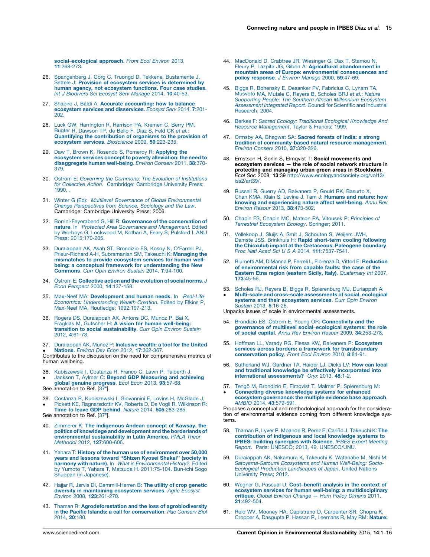<span id="page-14-0"></span>social–[ecological](http://refhub.elsevier.com/S1877-3435(14)00116-X/sbref0125) approach. Front Ecol Environ 2013, 11[:268-273.](http://refhub.elsevier.com/S1877-3435(14)00116-X/sbref0125)

- 26. [Spangenberg](http://refhub.elsevier.com/S1877-3435(14)00116-X/sbref0130) J, Görg C, Truongd D, Tekkene, Bustamente J, Settele J: Provision of ecosystem services is [determined](http://refhub.elsevier.com/S1877-3435(14)00116-X/sbref0130) by human agency, not [ecosystem](http://refhub.elsevier.com/S1877-3435(14)00116-X/sbref0130) functions. Four case studies. Int J [Biodivers](http://refhub.elsevier.com/S1877-3435(14)00116-X/sbref0130) Sci Ecosyst Serv Manage 2014, 10:40-53.
- 27. Shapiro J, Báldi A: Accurate [accounting:](http://refhub.elsevier.com/S1877-3435(14)00116-X/sbref0135) how to balance ecosystem services and [disservices](http://refhub.elsevier.com/S1877-3435(14)00116-X/sbref0135). Ecosyst Serv 2014, 7:201- [202.](http://refhub.elsevier.com/S1877-3435(14)00116-X/sbref0135)
- 28. Luck GW, [Harrington](http://refhub.elsevier.com/S1877-3435(14)00116-X/sbref0140) R, Harrison PA, Kremen C, Berry PM, Bugter R, [Dawson](http://refhub.elsevier.com/S1877-3435(14)00116-X/sbref0140) TP, de Bello F, Diaz S, Feld CK et al.: Quantifying the [contribution](http://refhub.elsevier.com/S1877-3435(14)00116-X/sbref0140) of organisms to the provision of [ecosystem](http://refhub.elsevier.com/S1877-3435(14)00116-X/sbref0140) services. Bioscience 2009, 59:223-235.
- 29. Daw T, Brown K, Rosendo S, Pomeroy R: [Applying](http://refhub.elsevier.com/S1877-3435(14)00116-X/sbref0145) the [ecosystem](http://refhub.elsevier.com/S1877-3435(14)00116-X/sbref0145) services concept to poverty alleviation: the need to [disaggregate](http://refhub.elsevier.com/S1877-3435(14)00116-X/sbref0145) human well-being. Environ Conserv 2011, 38:370- [379.](http://refhub.elsevier.com/S1877-3435(14)00116-X/sbref0145)
- 30. Östrom E: Governing the [Commons:](http://refhub.elsevier.com/S1877-3435(14)00116-X/sbref0150) The Evolution of Institutions for Collective Action. [Cambridge:](http://refhub.elsevier.com/S1877-3435(14)00116-X/sbref0150) Cambridge University Press; [1990,](http://refhub.elsevier.com/S1877-3435(14)00116-X/sbref0150) .
- 31. Winter G (Ed): Multilevel Governance of Global [Environmental](http://refhub.elsevier.com/S1877-3435(14)00116-X/sbref0155) Change [Perspectives](http://refhub.elsevier.com/S1877-3435(14)00116-X/sbref0155) from Science, Sociology and the Law. Cambridge: Cambridge University Press; 2006.
- 32. [Borrini-Feyerabend](http://refhub.elsevier.com/S1877-3435(14)00116-X/sbref0160) G, Hill R: Governance of the conservation of nature. In Protected Area Governance and [Management.](http://refhub.elsevier.com/S1877-3435(14)00116-X/sbref0160) Edited by Worboys G, [Lockwood](http://refhub.elsevier.com/S1877-3435(14)00116-X/sbref0160) M, Kothari A, Feary S, Pulsford I. ANU [Press;](http://refhub.elsevier.com/S1877-3435(14)00116-X/sbref0160) 2015[:170-205](http://refhub.elsevier.com/S1877-3435(14)00116-X/sbref0160).
- 33. [Duraiappah](http://refhub.elsevier.com/S1877-3435(14)00116-X/sbref0165) AK, Asah ST, Brondizio ES, Kosoy N, O'Farrell PJ, [Prieur-Richard](http://refhub.elsevier.com/S1877-3435(14)00116-X/sbref0165) A-H, Subramanian SM, Takeuchi K: Managing the [mismatches](http://refhub.elsevier.com/S1877-3435(14)00116-X/sbref0165) to provide ecosystem services for human wellbeing: a conceptual framework for [understanding](http://refhub.elsevier.com/S1877-3435(14)00116-X/sbref0165) the New [Commons](http://refhub.elsevier.com/S1877-3435(14)00116-X/sbref0165). Curr Opin Environ Sustain 2014, 7:94-100.
- 34. Östrom E: [Collective](http://refhub.elsevier.com/S1877-3435(14)00116-X/sbref0170) action and the evolution of social norms. J Econ Perspect 2000, 14[:137-158.](http://refhub.elsevier.com/S1877-3435(14)00116-X/sbref0170)
- 35. Max-Neef MA: [Development](http://refhub.elsevier.com/S1877-3435(14)00116-X/sbref0175) and human needs. In Real-Life Economics: [Understanding](http://refhub.elsevier.com/S1877-3435(14)00116-X/sbref0175) Wealth Creation. Edited by Elkins P, Max-Neef MA. [Routledge;](http://refhub.elsevier.com/S1877-3435(14)00116-X/sbref0175) 1992[:197-213](http://refhub.elsevier.com/S1877-3435(14)00116-X/sbref0175).
- 36. Rogers DS, [Duraiappah](http://refhub.elsevier.com/S1877-3435(14)00116-X/sbref0180) AK, Antons DC, Munoz P, Bai X, Fragkias M, Gutscher H: A vision for human [well-being:](http://refhub.elsevier.com/S1877-3435(14)00116-X/sbref0180) transition to social [sustainability](http://refhub.elsevier.com/S1877-3435(14)00116-X/sbref0180). Curr Opin Environ Sustain 2012, 4[:61-73.](http://refhub.elsevier.com/S1877-3435(14)00116-X/sbref0180)

37. [Duraiappah](http://refhub.elsevier.com/S1877-3435(14)00116-X/sbref0185) AK, Muñoz P: Inclusive wealth: a tool for the United • Nations. *Environ Dev Econ 2*012, 17:362-367.<br>Contributes to the discussion on the need for comprehensive metrics of Nations. Environ Dev Econ 2012, 17[:362-367.](http://refhub.elsevier.com/S1877-3435(14)00116-X/sbref0185)

human wellbeing. 38. [Kubiszewski](http://refhub.elsevier.com/S1877-3435(14)00116-X/sbref0190) I, Costanza R, Franco C, Lawn P, Talberth J,

• Jackson T, Aylmer C: Beyond GDP Measuring and a global genuine [progress](http://refhub.elsevier.com/S1877-3435(14)00116-X/sbref0190). *Ecol Econ* 2013, 93:57-68.<br>See annotation to Ref. [37°]. Jackson T, Aylmer C: Beyond GDP [Measuring](http://refhub.elsevier.com/S1877-3435(14)00116-X/sbref0190) and achieving

- 39.  $\bullet$ Costanza R, [Kubiszewski](http://refhub.elsevier.com/S1877-3435(14)00116-X/sbref0195) I, Giovannini E, Lovins H, McGlade J, Pickett KE, [Ragnarsdottir](http://refhub.elsevier.com/S1877-3435(14)00116-X/sbref0195) KV, Roberts D, De Vogli R, Wilkinson R: Time to leave GDP behind. Nature 2014, 505[:283-285.](http://refhub.elsevier.com/S1877-3435(14)00116-X/sbref0195)
- See annotation to Ref. [37°].
- 40. Zimmerer K: The [indigenous](http://refhub.elsevier.com/S1877-3435(14)00116-X/sbref0200) Andean concept of Kawsay, the politics of knowldege and [development](http://refhub.elsevier.com/S1877-3435(14)00116-X/sbref0200) and the borderlands of [environmental](http://refhub.elsevier.com/S1877-3435(14)00116-X/sbref0200) sustainability in Latin America. PMLA Theor Methodol 2012, 127[:600-606.](http://refhub.elsevier.com/S1877-3435(14)00116-X/sbref0200)
- 41. Yahara T: History of the human use of [environment](http://refhub.elsevier.com/S1877-3435(14)00116-X/sbref0205) over 50,000 years and lessons toward ''Shizen Kyosei [Shakai''](http://refhub.elsevier.com/S1877-3435(14)00116-X/sbref0205) (society in harmony with nature). In What is [Environmental](http://refhub.elsevier.com/S1877-3435(14)00116-X/sbref0205) History?. Edited by Yumoto T, Yahara T, Matsuda H. [2011:75-104.](http://refhub.elsevier.com/S1877-3435(14)00116-X/sbref0205) Bun-ichi Sogo Shuppan (in [Japanese\).](http://refhub.elsevier.com/S1877-3435(14)00116-X/sbref0205)
- 42. Hajjar R, Jarvis DI, [Gemmill-Herren](http://refhub.elsevier.com/S1877-3435(14)00116-X/sbref0210) B: The utility of crop genetic diversity in [maintaining](http://refhub.elsevier.com/S1877-3435(14)00116-X/sbref0210) ecosystem services. Agric Ecosyst Environ 2008, 123[:261-270.](http://refhub.elsevier.com/S1877-3435(14)00116-X/sbref0210)
- 43. Thaman R: [Agrodeforestation](http://refhub.elsevier.com/S1877-3435(14)00116-X/sbref0215) and the loss of agrobiodiversity in the Pacific Islands: a call for [conservation](http://refhub.elsevier.com/S1877-3435(14)00116-X/sbref0215). Pac Conserv Biol [2014,](http://refhub.elsevier.com/S1877-3435(14)00116-X/sbref0215) 20:180.
- 44. [MacDonald](http://refhub.elsevier.com/S1877-3435(14)00116-X/sbref0220) D, Crabtree JR, Wiesinger G, Dax T, Stamou N, Fleury P, Lazpita JG, Gibon A: **Agricultural [abandonment](http://refhub.elsevier.com/S1877-3435(14)00116-X/sbref0220) in** mountain areas of Europe: environmental [consequences](http://refhub.elsevier.com/S1877-3435(14)00116-X/sbref0220) and policy [response](http://refhub.elsevier.com/S1877-3435(14)00116-X/sbref0220). J Environ Manage 2000, 59:47-69.
- 45. Biggs R, [Bohensky](http://refhub.elsevier.com/S1877-3435(14)00116-X/sbref0225) E, Desanker PV, Fabricius C, Lynam TA, [Musvoto](http://refhub.elsevier.com/S1877-3435(14)00116-X/sbref0225) MA, Mutale C, Reyers B, Scholes BRJ et al.: Nature [Supporting](http://refhub.elsevier.com/S1877-3435(14)00116-X/sbref0225) People: The Southern African Millennium Ecosystem [Assessment](http://refhub.elsevier.com/S1877-3435(14)00116-X/sbref0225) Integrated Report. Council for Scientific and Industrial [Research;](http://refhub.elsevier.com/S1877-3435(14)00116-X/sbref0225) 2004.
- 46. Berkes F: Sacred Ecology: Traditional Ecological [Knowledge](http://refhub.elsevier.com/S1877-3435(14)00116-X/sbref0230) And Resource [Management](http://refhub.elsevier.com/S1877-3435(14)00116-X/sbref0230). Taylor & Francis; 1999.
- 47. Ormsby AA, [Bhagwat](http://refhub.elsevier.com/S1877-3435(14)00116-X/sbref0235) SA: Sacred forests of India: a strong tradition of [community-based](http://refhub.elsevier.com/S1877-3435(14)00116-X/sbref0235) natural resource management. Environ Conserv 2010, 37[:320-326.](http://refhub.elsevier.com/S1877-3435(14)00116-X/sbref0235)
- 48. Ernstson H, Sorlin S, Elmqvist T: Social movements and ecosystem services — the role of social network structure in protecting and managing urban green areas in Stockholm. Ecol Soc 2008, 13:39 [http://www.ecologyandsociety.org/vol13/](http://www.ecologyandsociety.org/vol13/iss2/art39/) [iss2/art39/.](http://www.ecologyandsociety.org/vol13/iss2/art39/)
- 49. Russell R, Guerry AD, [Balvanera](http://refhub.elsevier.com/S1877-3435(14)00116-X/sbref0245) P, Gould RK, Basurto X, Chan KMA, Klain S, Levine J, Tam J: [Humans](http://refhub.elsevier.com/S1877-3435(14)00116-X/sbref0245) and nature: how knowing and [experiencing](http://refhub.elsevier.com/S1877-3435(14)00116-X/sbref0245) nature affect well-being. Annu Rev Environ Resour 2013, 38[:473-502.](http://refhub.elsevier.com/S1877-3435(14)00116-X/sbref0245)
- 50. Chapin FS, Chapin MC, Matson PA, Vitousek P: [Principles](http://refhub.elsevier.com/S1877-3435(14)00116-X/sbref0250) of Terrestrial [Ecosystem](http://refhub.elsevier.com/S1877-3435(14)00116-X/sbref0250) Ecology. Springer; 2011.
- 51. [Vellekoop](http://refhub.elsevier.com/S1877-3435(14)00116-X/sbref0255) J, Sluijs A, Smit J, Schouten S, Weijers JWH,<br>Damste JSS, Brinkhuis H: Rapid [short-term](http://refhub.elsevier.com/S1877-3435(14)00116-X/sbref0255) cooling following the Chicxulub impact at the [Cretaceous](http://refhub.elsevier.com/S1877-3435(14)00116-X/sbref0255)–Paleogene boundary. Proc Natl Acad Sci U S A 2014, 111[:7537-7541.](http://refhub.elsevier.com/S1877-3435(14)00116-X/sbref0255)
- 52. Blumetti AM, DiManna P, Ferreli L, Florenza D, Vittorl E: [Reduction](http://refhub.elsevier.com/S1877-3435(14)00116-X/sbref0260) of [environmental](http://refhub.elsevier.com/S1877-3435(14)00116-X/sbref0260) risk from capable faults: the case of the Eastern Etna region (eastern Sicily, Italy). [Quaternary](http://refhub.elsevier.com/S1877-3435(14)00116-X/sbref0260) Int 2007, 173[:45-56.](http://refhub.elsevier.com/S1877-3435(14)00116-X/sbref0260)
- 53. Scholes RJ, Reyers B, Biggs R, [Spierenburg](http://refhub.elsevier.com/S1877-3435(14)00116-X/sbref0265) MJ, Duriappah A: -Multi-scale and cross-scale [assessments](http://refhub.elsevier.com/S1877-3435(14)00116-X/sbref0265) of social–ecological systems and their [ecosystem](http://refhub.elsevier.com/S1877-3435(14)00116-X/sbref0265) services. Curr Opin Environ [Sustain](http://refhub.elsevier.com/S1877-3435(14)00116-X/sbref0265) 2013, 5:16-25.

Unpacks issues of scale in environmental assessments.

- 54. Brondizio ES, Östrom E, Young OR: [Connectivity](http://refhub.elsevier.com/S1877-3435(14)00116-X/sbref0270) and the [governance](http://refhub.elsevier.com/S1877-3435(14)00116-X/sbref0270) of multilevel social-ecological systems: the role<br>of social capital. Annu Rev Environ Resour 2009, 34[:253-278.](http://refhub.elsevier.com/S1877-3435(14)00116-X/sbref0270)
- 55. Hoffman LL, Varady RG, Flessa KW, Balvanera P: [Ecosystem](http://refhub.elsevier.com/S1877-3435(14)00116-X/sbref0275) services across borders: a framework for [transboundary](http://refhub.elsevier.com/S1877-3435(14)00116-X/sbref0275) [conservation](http://refhub.elsevier.com/S1877-3435(14)00116-X/sbref0275) policy. Front Ecol Environ 2010, 8:84-91.
- 56. [Sutherland](http://refhub.elsevier.com/S1877-3435(14)00116-X/sbref0280) WJ, Gardner TA, Haider LJ, Dicks LV: How can local and traditional knowledge be effectively [incorporated](http://refhub.elsevier.com/S1877-3435(14)00116-X/sbref0280) into international [assessments?](http://refhub.elsevier.com/S1877-3435(14)00116-X/sbref0280) Oryx 2013, 48:1-2.
- 57. Tengö M, Brondizio E, Elmqvist T, Malmer P, [Spierenburg](http://refhub.elsevier.com/S1877-3435(14)00116-X/sbref0285) M:
- -[Connecting](http://refhub.elsevier.com/S1877-3435(14)00116-X/sbref0285) diverse knowledge systems for enhanced ecosystem [governance:](http://refhub.elsevier.com/S1877-3435(14)00116-X/sbref0285) the multiple evidence base approach. AMBIO 2014, 43[:579-591.](http://refhub.elsevier.com/S1877-3435(14)00116-X/sbref0285)

Proposes a conceptual and methodological approach for the consideration of environmental evidence coming from different knowledge systems.

- 58. Thaman R, Lyver P, Mpande R, Perez E, Cariño J, [Takeuchi](http://refhub.elsevier.com/S1877-3435(14)00116-X/sbref0290) K: The [contribution](http://refhub.elsevier.com/S1877-3435(14)00116-X/sbref0290) of indigenous and local knowledge systems to **IPBES: building [synergies](http://refhub.elsevier.com/S1877-3435(14)00116-X/sbref0290) with Science. IPBES Expert Meeting** Report. Paris: UNESCO; 2013, 49. [UNESCO/UNU](http://refhub.elsevier.com/S1877-3435(14)00116-X/sbref0290).
- 59. [Duraiappah](http://refhub.elsevier.com/S1877-3435(14)00116-X/sbref0295) AK, Nakamura K, Takeuchi K, Watanabe M, Nishi M: [Satoyama-Satoumi](http://refhub.elsevier.com/S1877-3435(14)00116-X/sbref0295) Ecosystems and Human Well-Being: Socio-Ecological Production [Landscapes](http://refhub.elsevier.com/S1877-3435(14)00116-X/sbref0295) of Japan. United Nations [University](http://refhub.elsevier.com/S1877-3435(14)00116-X/sbref0295) Press; 2012.
- 60. Wegner G, Pascual U: Cost–benefit [analysis](http://refhub.elsevier.com/S1877-3435(14)00116-X/sbref0300) in the context of ecosystem services for human well-being: a [multidisciplinary](http://refhub.elsevier.com/S1877-3435(14)00116-X/sbref0300) [critique](http://refhub.elsevier.com/S1877-3435(14)00116-X/sbref0300). Global Environ Change — Hum Policy Dimens 2011, 21[:492-504.](http://refhub.elsevier.com/S1877-3435(14)00116-X/sbref0300)
- 61. Reid WV, Mooney HA, [Capistrano](http://refhub.elsevier.com/S1877-3435(14)00116-X/sbref0305) D, Carpenter SR, Chopra K, Cropper A, [Dasgupta](http://refhub.elsevier.com/S1877-3435(14)00116-X/sbref0305) P, Hassan R, Leemans R, May RM: Nature: